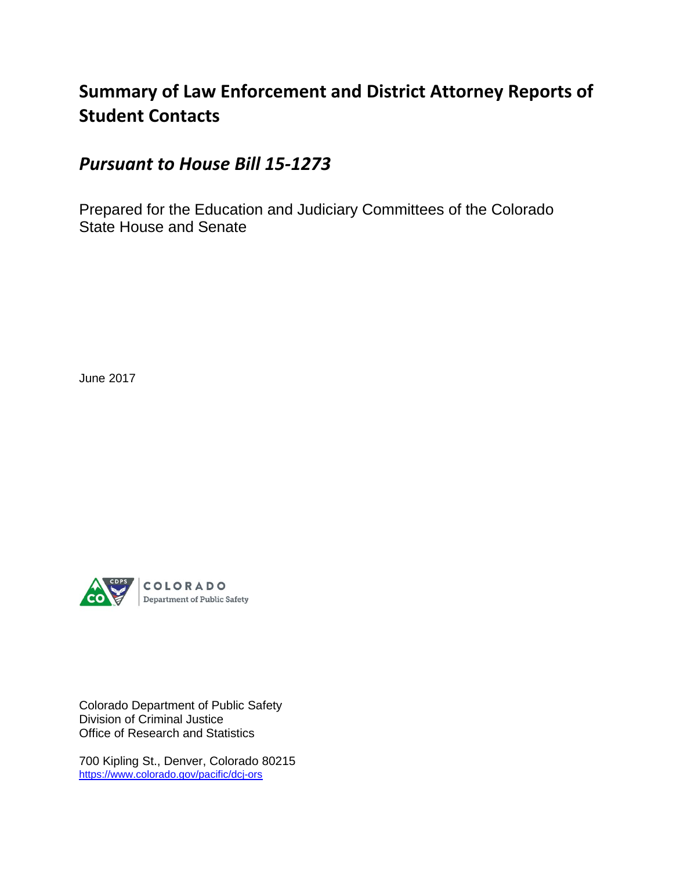# **Summary of Law Enforcement and District Attorney Reports of Student Contacts**

# *Pursuant to House Bill 15-1273*

Prepared for the Education and Judiciary Committees of the Colorado State House and Senate

June 2017



Colorado Department of Public Safety Division of Criminal Justice Office of Research and Statistics

700 Kipling St., Denver, Colorado 80215 <https://www.colorado.gov/pacific/dcj-ors>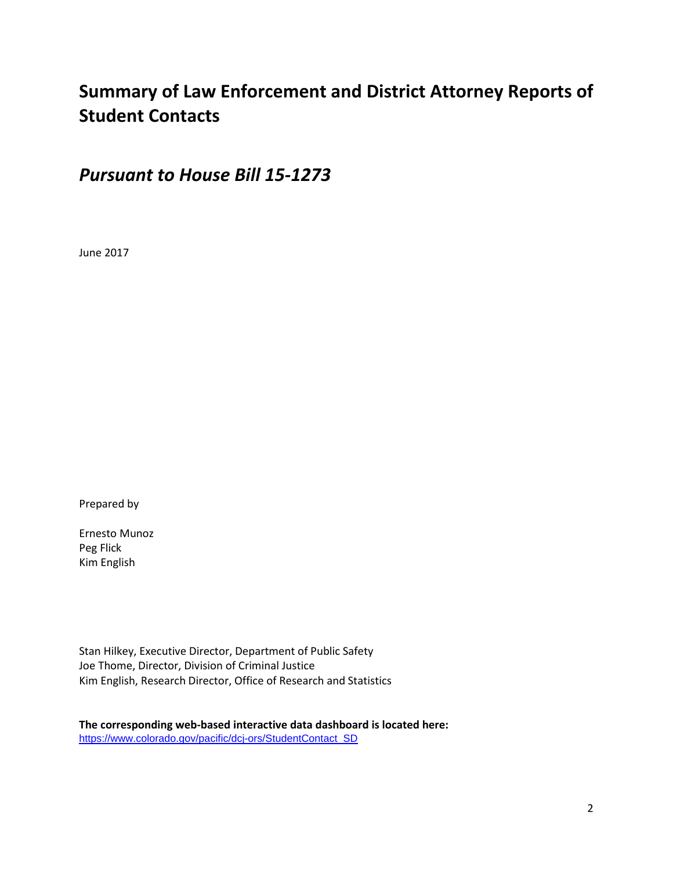# **Summary of Law Enforcement and District Attorney Reports of Student Contacts**

*Pursuant to House Bill 15-1273*

June 2017

Prepared by

Ernesto Munoz Peg Flick Kim English

Stan Hilkey, Executive Director, Department of Public Safety Joe Thome, Director, Division of Criminal Justice Kim English, Research Director, Office of Research and Statistics

**The corresponding web-based interactive data dashboard is located here:**  [https://www.colorado.gov/pacific/dcj-ors/StudentContact\\_SD](https://www.colorado.gov/pacific/dcj-ors/StudentContact_SD)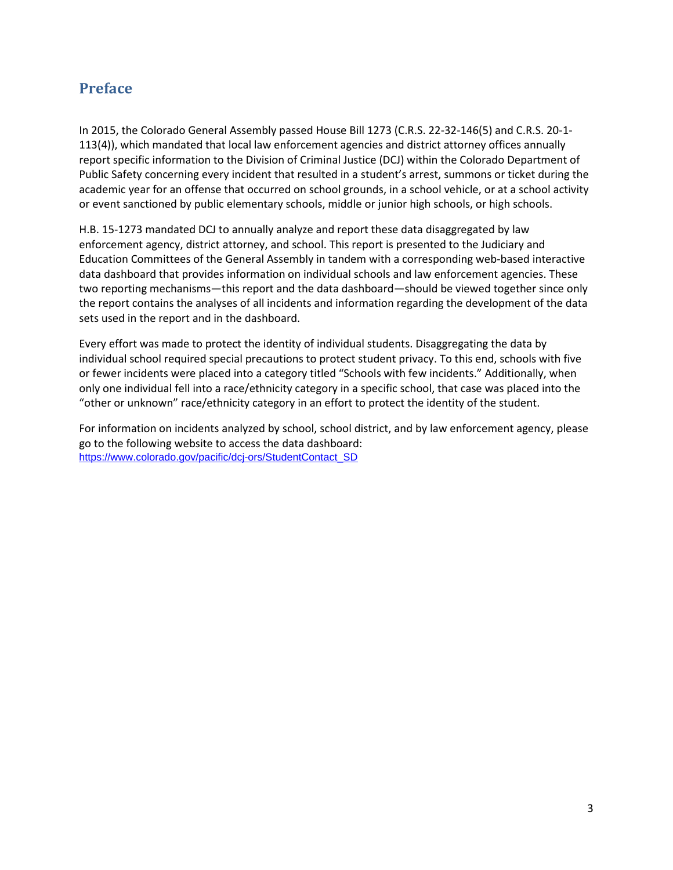# <span id="page-2-0"></span>**Preface**

In 2015, the Colorado General Assembly passed House Bill 1273 (C.R.S. 22-32-146(5) and C.R.S. 20-1- 113(4)), which mandated that local law enforcement agencies and district attorney offices annually report specific information to the Division of Criminal Justice (DCJ) within the Colorado Department of Public Safety concerning every incident that resulted in a student's arrest, summons or ticket during the academic year for an offense that occurred on school grounds, in a school vehicle, or at a school activity or event sanctioned by public elementary schools, middle or junior high schools, or high schools.

H.B. 15-1273 mandated DCJ to annually analyze and report these data disaggregated by law enforcement agency, district attorney, and school. This report is presented to the Judiciary and Education Committees of the General Assembly in tandem with a corresponding web-based interactive data dashboard that provides information on individual schools and law enforcement agencies. These two reporting mechanisms—this report and the data dashboard—should be viewed together since only the report contains the analyses of all incidents and information regarding the development of the data sets used in the report and in the dashboard.

Every effort was made to protect the identity of individual students. Disaggregating the data by individual school required special precautions to protect student privacy. To this end, schools with five or fewer incidents were placed into a category titled "Schools with few incidents." Additionally, when only one individual fell into a race/ethnicity category in a specific school, that case was placed into the "other or unknown" race/ethnicity category in an effort to protect the identity of the student.

For information on incidents analyzed by school, school district, and by law enforcement agency, please go to the following website to access the data dashboard: [https://www.colorado.gov/pacific/dcj-ors/StudentContact\\_SD](https://www.colorado.gov/pacific/dcj-ors/StudentContact_SD)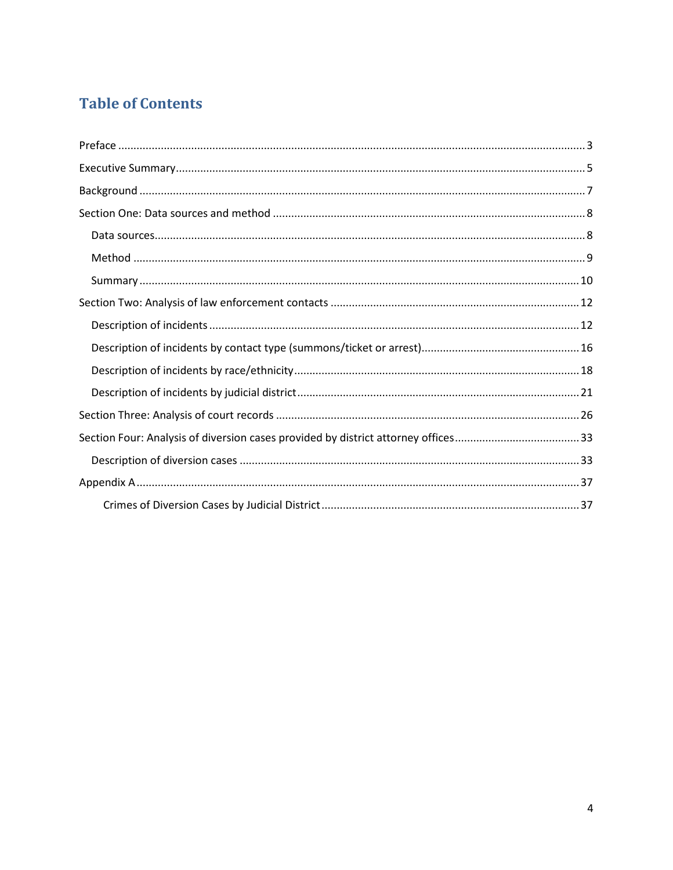# **Table of Contents**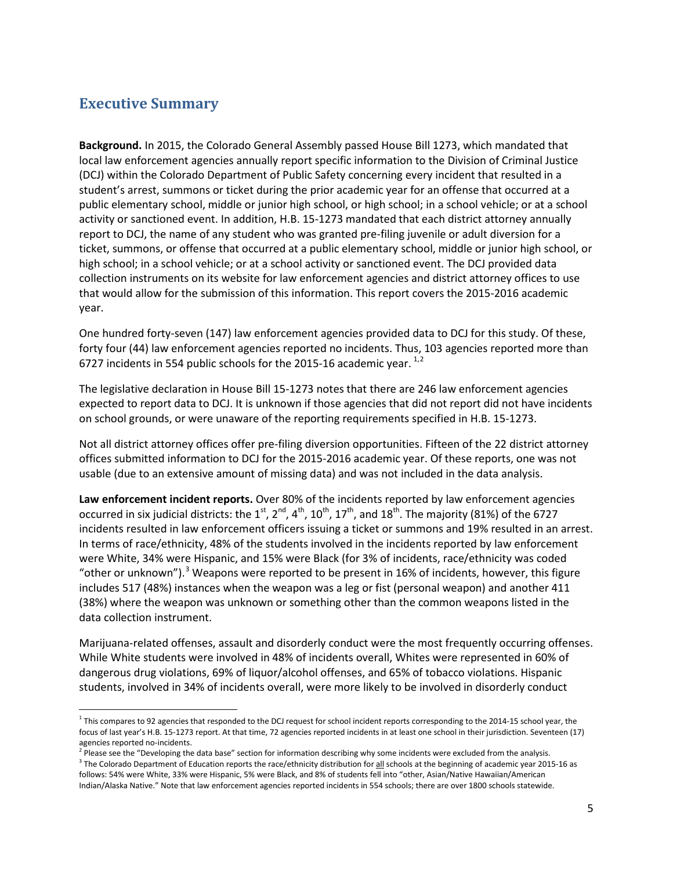## <span id="page-4-0"></span>**Executive Summary**

**Background.** In 2015, the Colorado General Assembly passed House Bill 1273, which mandated that local law enforcement agencies annually report specific information to the Division of Criminal Justice (DCJ) within the Colorado Department of Public Safety concerning every incident that resulted in a student's arrest, summons or ticket during the prior academic year for an offense that occurred at a public elementary school, middle or junior high school, or high school; in a school vehicle; or at a school activity or sanctioned event. In addition, H.B. 15-1273 mandated that each district attorney annually report to DCJ, the name of any student who was granted pre-filing juvenile or adult diversion for a ticket, summons, or offense that occurred at a public elementary school, middle or junior high school, or high school; in a school vehicle; or at a school activity or sanctioned event. The DCJ provided data collection instruments on its website for law enforcement agencies and district attorney offices to use that would allow for the submission of this information. This report covers the 2015-2016 academic year.

One hundred forty-seven (147) law enforcement agencies provided data to DCJ for this study. Of these, forty four (44) law enforcement agencies reported no incidents. Thus, 103 agencies reported more than 67[2](#page-4-2)7 incidents in 554 public schools for the 2015-16 academic year.  $^{1,2}$  $^{1,2}$  $^{1,2}$ 

The legislative declaration in House Bill 15-1273 notes that there are 246 law enforcement agencies expected to report data to DCJ. It is unknown if those agencies that did not report did not have incidents on school grounds, or were unaware of the reporting requirements specified in H.B. 15-1273.

Not all district attorney offices offer pre-filing diversion opportunities. Fifteen of the 22 district attorney offices submitted information to DCJ for the 2015-2016 academic year. Of these reports, one was not usable (due to an extensive amount of missing data) and was not included in the data analysis.

**Law enforcement incident reports.** Over 80% of the incidents reported by law enforcement agencies occurred in six judicial districts: the  $1^{st}$ ,  $2^{nd}$ ,  $4^{th}$ ,  $10^{th}$ ,  $17^{th}$ , and  $18^{th}$ . The majority (81%) of the 6727 incidents resulted in law enforcement officers issuing a ticket or summons and 19% resulted in an arrest. In terms of race/ethnicity, 48% of the students involved in the incidents reported by law enforcement were White, 34% were Hispanic, and 15% were Black (for 3% of incidents, race/ethnicity was coded "other or unknown").<sup>[3](#page-4-3)</sup> Weapons were reported to be present in 16% of incidents, however, this figure includes 517 (48%) instances when the weapon was a leg or fist (personal weapon) and another 411 (38%) where the weapon was unknown or something other than the common weapons listed in the data collection instrument.

Marijuana-related offenses, assault and disorderly conduct were the most frequently occurring offenses. While White students were involved in 48% of incidents overall, Whites were represented in 60% of dangerous drug violations, 69% of liquor/alcohol offenses, and 65% of tobacco violations. Hispanic students, involved in 34% of incidents overall, were more likely to be involved in disorderly conduct

<span id="page-4-1"></span><sup>&</sup>lt;sup>1</sup> This compares to 92 agencies that responded to the DCJ request for school incident reports corresponding to the 2014-15 school year, the focus of last year's H.B. 15-1273 report. At that time, 72 agencies reported incidents in at least one school in their jurisdiction. Seventeen (17)

<span id="page-4-2"></span>agencies reported no-incidents.<br><sup>2</sup> Please see the "Developing the data base" section for information describing why some incidents were excluded from the analysis. <sup>3</sup> The Colorado Department of Education reports the race/ethnicity distribution for all schools at the beginning of academic year 2015-16 as follows: 54% were White, 33% were Hispanic, 5% were Black, and 8% of students fell into "other, Asian/Native Hawaiian/American

<span id="page-4-3"></span>Indian/Alaska Native." Note that law enforcement agencies reported incidents in 554 schools; there are over 1800 schools statewide.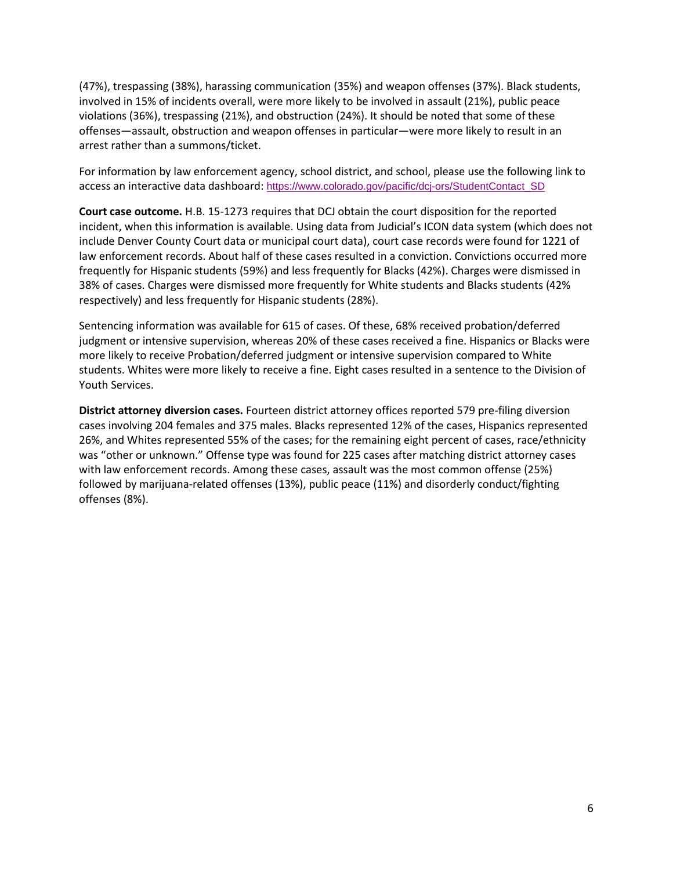(47%), trespassing (38%), harassing communication (35%) and weapon offenses (37%). Black students, involved in 15% of incidents overall, were more likely to be involved in assault (21%), public peace violations (36%), trespassing (21%), and obstruction (24%). It should be noted that some of these offenses—assault, obstruction and weapon offenses in particular—were more likely to result in an arrest rather than a summons/ticket.

For information by law enforcement agency, school district, and school, please use the following link to access an interactive data dashboard: [https://www.colorado.gov/pacific/dcj-ors/StudentContact\\_SD](https://www.colorado.gov/pacific/dcj-ors/StudentContact_SD)

**Court case outcome.** H.B. 15-1273 requires that DCJ obtain the court disposition for the reported incident, when this information is available. Using data from Judicial's ICON data system (which does not include Denver County Court data or municipal court data), court case records were found for 1221 of law enforcement records. About half of these cases resulted in a conviction. Convictions occurred more frequently for Hispanic students (59%) and less frequently for Blacks (42%). Charges were dismissed in 38% of cases. Charges were dismissed more frequently for White students and Blacks students (42% respectively) and less frequently for Hispanic students (28%).

Sentencing information was available for 615 of cases. Of these, 68% received probation/deferred judgment or intensive supervision, whereas 20% of these cases received a fine. Hispanics or Blacks were more likely to receive Probation/deferred judgment or intensive supervision compared to White students. Whites were more likely to receive a fine. Eight cases resulted in a sentence to the Division of Youth Services.

**District attorney diversion cases.** Fourteen district attorney offices reported 579 pre-filing diversion cases involving 204 females and 375 males. Blacks represented 12% of the cases, Hispanics represented 26%, and Whites represented 55% of the cases; for the remaining eight percent of cases, race/ethnicity was "other or unknown." Offense type was found for 225 cases after matching district attorney cases with law enforcement records. Among these cases, assault was the most common offense (25%) followed by marijuana-related offenses (13%), public peace (11%) and disorderly conduct/fighting offenses (8%).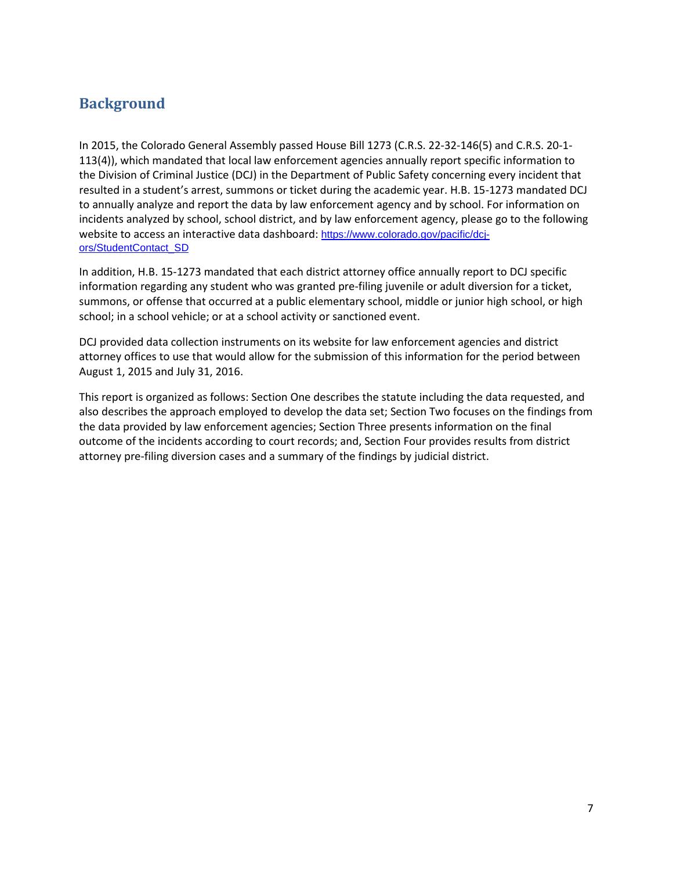# <span id="page-6-0"></span>**Background**

In 2015, the Colorado General Assembly passed House Bill 1273 (C.R.S. 22-32-146(5) and C.R.S. 20-1- 113(4)), which mandated that local law enforcement agencies annually report specific information to the Division of Criminal Justice (DCJ) in the Department of Public Safety concerning every incident that resulted in a student's arrest, summons or ticket during the academic year. H.B. 15-1273 mandated DCJ to annually analyze and report the data by law enforcement agency and by school. For information on incidents analyzed by school, school district, and by law enforcement agency, please go to the following website to access an interactive data dashboard: [https://www.colorado.gov/pacific/dcj](https://www.colorado.gov/pacific/dcj-ors/StudentContact_SD)[ors/StudentContact\\_SD](https://www.colorado.gov/pacific/dcj-ors/StudentContact_SD)

In addition, H.B. 15-1273 mandated that each district attorney office annually report to DCJ specific information regarding any student who was granted pre-filing juvenile or adult diversion for a ticket, summons, or offense that occurred at a public elementary school, middle or junior high school, or high school; in a school vehicle; or at a school activity or sanctioned event.

DCJ provided data collection instruments on its website for law enforcement agencies and district attorney offices to use that would allow for the submission of this information for the period between August 1, 2015 and July 31, 2016.

This report is organized as follows: Section One describes the statute including the data requested, and also describes the approach employed to develop the data set; Section Two focuses on the findings from the data provided by law enforcement agencies; Section Three presents information on the final outcome of the incidents according to court records; and, Section Four provides results from district attorney pre-filing diversion cases and a summary of the findings by judicial district.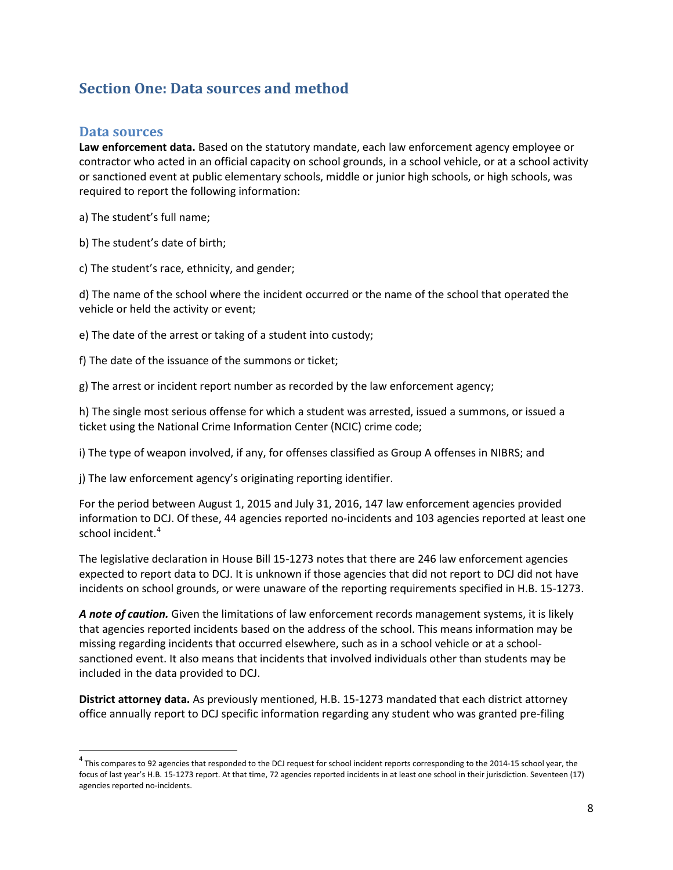# <span id="page-7-0"></span>**Section One: Data sources and method**

### <span id="page-7-1"></span>**Data sources**

**Law enforcement data.** Based on the statutory mandate, each law enforcement agency employee or contractor who acted in an official capacity on school grounds, in a school vehicle, or at a school activity or sanctioned event at public elementary schools, middle or junior high schools, or high schools, was required to report the following information:

a) The student's full name;

b) The student's date of birth;

c) The student's race, ethnicity, and gender;

d) The name of the school where the incident occurred or the name of the school that operated the vehicle or held the activity or event;

e) The date of the arrest or taking of a student into custody;

f) The date of the issuance of the summons or ticket;

g) The arrest or incident report number as recorded by the law enforcement agency;

h) The single most serious offense for which a student was arrested, issued a summons, or issued a ticket using the National Crime Information Center (NCIC) crime code;

i) The type of weapon involved, if any, for offenses classified as Group A offenses in NIBRS; and

j) The law enforcement agency's originating reporting identifier.

For the period between August 1, 2015 and July 31, 2016, 147 law enforcement agencies provided information to DCJ. Of these, 44 agencies reported no-incidents and 103 agencies reported at least one school incident. [4](#page-7-2)

The legislative declaration in House Bill 15-1273 notes that there are 246 law enforcement agencies expected to report data to DCJ. It is unknown if those agencies that did not report to DCJ did not have incidents on school grounds, or were unaware of the reporting requirements specified in H.B. 15-1273.

*A note of caution.* Given the limitations of law enforcement records management systems, it is likely that agencies reported incidents based on the address of the school. This means information may be missing regarding incidents that occurred elsewhere, such as in a school vehicle or at a schoolsanctioned event. It also means that incidents that involved individuals other than students may be included in the data provided to DCJ.

**District attorney data.** As previously mentioned, H.B. 15-1273 mandated that each district attorney office annually report to DCJ specific information regarding any student who was granted pre-filing

<span id="page-7-2"></span> $4$  This compares to 92 agencies that responded to the DCJ request for school incident reports corresponding to the 2014-15 school year, the focus of last year's H.B. 15-1273 report. At that time, 72 agencies reported incidents in at least one school in their jurisdiction. Seventeen (17) agencies reported no-incidents.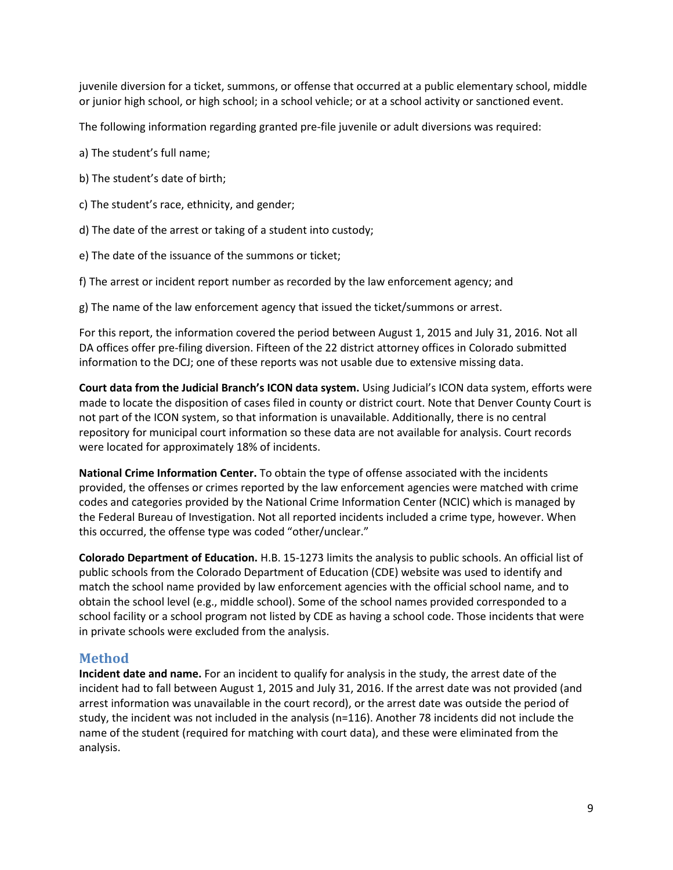juvenile diversion for a ticket, summons, or offense that occurred at a public elementary school, middle or junior high school, or high school; in a school vehicle; or at a school activity or sanctioned event.

The following information regarding granted pre-file juvenile or adult diversions was required:

a) The student's full name;

- b) The student's date of birth;
- c) The student's race, ethnicity, and gender;
- d) The date of the arrest or taking of a student into custody;
- e) The date of the issuance of the summons or ticket;
- f) The arrest or incident report number as recorded by the law enforcement agency; and
- g) The name of the law enforcement agency that issued the ticket/summons or arrest.

For this report, the information covered the period between August 1, 2015 and July 31, 2016. Not all DA offices offer pre-filing diversion. Fifteen of the 22 district attorney offices in Colorado submitted information to the DCJ; one of these reports was not usable due to extensive missing data.

**Court data from the Judicial Branch's ICON data system.** Using Judicial's ICON data system, efforts were made to locate the disposition of cases filed in county or district court. Note that Denver County Court is not part of the ICON system, so that information is unavailable. Additionally, there is no central repository for municipal court information so these data are not available for analysis. Court records were located for approximately 18% of incidents.

**National Crime Information Center.** To obtain the type of offense associated with the incidents provided, the offenses or crimes reported by the law enforcement agencies were matched with crime codes and categories provided by the National Crime Information Center (NCIC) which is managed by the Federal Bureau of Investigation. Not all reported incidents included a crime type, however. When this occurred, the offense type was coded "other/unclear."

**Colorado Department of Education.** H.B. 15-1273 limits the analysis to public schools. An official list of public schools from the Colorado Department of Education (CDE) website was used to identify and match the school name provided by law enforcement agencies with the official school name, and to obtain the school level (e.g., middle school). Some of the school names provided corresponded to a school facility or a school program not listed by CDE as having a school code. Those incidents that were in private schools were excluded from the analysis.

### <span id="page-8-0"></span>**Method**

**Incident date and name.** For an incident to qualify for analysis in the study, the arrest date of the incident had to fall between August 1, 2015 and July 31, 2016. If the arrest date was not provided (and arrest information was unavailable in the court record), or the arrest date was outside the period of study, the incident was not included in the analysis (n=116). Another 78 incidents did not include the name of the student (required for matching with court data), and these were eliminated from the analysis.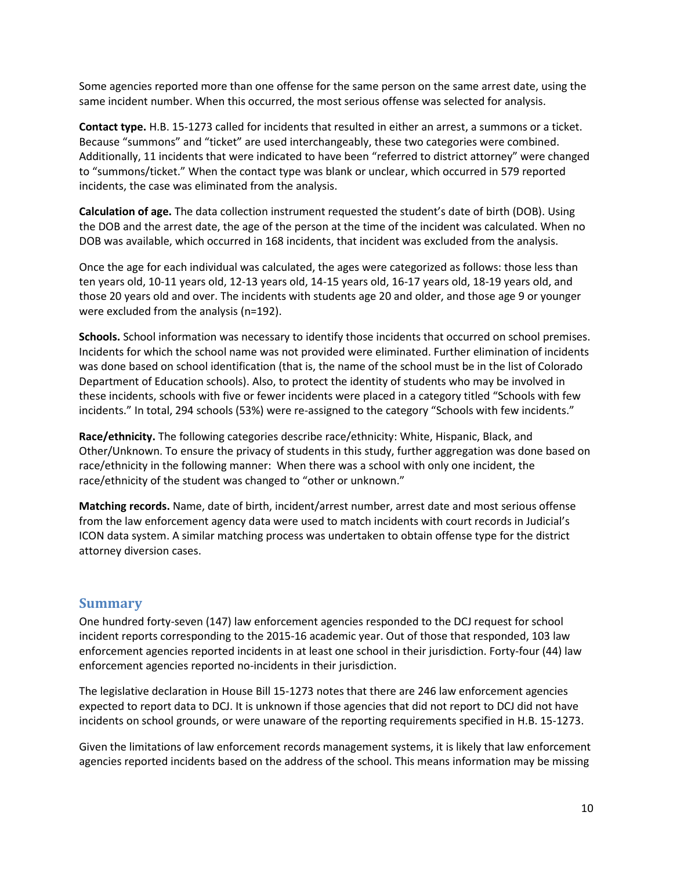Some agencies reported more than one offense for the same person on the same arrest date, using the same incident number. When this occurred, the most serious offense was selected for analysis.

**Contact type.** H.B. 15-1273 called for incidents that resulted in either an arrest, a summons or a ticket. Because "summons" and "ticket" are used interchangeably, these two categories were combined. Additionally, 11 incidents that were indicated to have been "referred to district attorney" were changed to "summons/ticket." When the contact type was blank or unclear, which occurred in 579 reported incidents, the case was eliminated from the analysis.

**Calculation of age.** The data collection instrument requested the student's date of birth (DOB). Using the DOB and the arrest date, the age of the person at the time of the incident was calculated. When no DOB was available, which occurred in 168 incidents, that incident was excluded from the analysis.

Once the age for each individual was calculated, the ages were categorized as follows: those less than ten years old, 10-11 years old, 12-13 years old, 14-15 years old, 16-17 years old, 18-19 years old, and those 20 years old and over. The incidents with students age 20 and older, and those age 9 or younger were excluded from the analysis (n=192).

**Schools.** School information was necessary to identify those incidents that occurred on school premises. Incidents for which the school name was not provided were eliminated. Further elimination of incidents was done based on school identification (that is, the name of the school must be in the list of Colorado Department of Education schools). Also, to protect the identity of students who may be involved in these incidents, schools with five or fewer incidents were placed in a category titled "Schools with few incidents." In total, 294 schools (53%) were re-assigned to the category "Schools with few incidents."

**Race/ethnicity.** The following categories describe race/ethnicity: White, Hispanic, Black, and Other/Unknown. To ensure the privacy of students in this study, further aggregation was done based on race/ethnicity in the following manner: When there was a school with only one incident, the race/ethnicity of the student was changed to "other or unknown."

**Matching records.** Name, date of birth, incident/arrest number, arrest date and most serious offense from the law enforcement agency data were used to match incidents with court records in Judicial's ICON data system. A similar matching process was undertaken to obtain offense type for the district attorney diversion cases.

### <span id="page-9-0"></span>**Summary**

One hundred forty-seven (147) law enforcement agencies responded to the DCJ request for school incident reports corresponding to the 2015-16 academic year. Out of those that responded, 103 law enforcement agencies reported incidents in at least one school in their jurisdiction. Forty-four (44) law enforcement agencies reported no-incidents in their jurisdiction.

The legislative declaration in House Bill 15-1273 notes that there are 246 law enforcement agencies expected to report data to DCJ. It is unknown if those agencies that did not report to DCJ did not have incidents on school grounds, or were unaware of the reporting requirements specified in H.B. 15-1273.

Given the limitations of law enforcement records management systems, it is likely that law enforcement agencies reported incidents based on the address of the school. This means information may be missing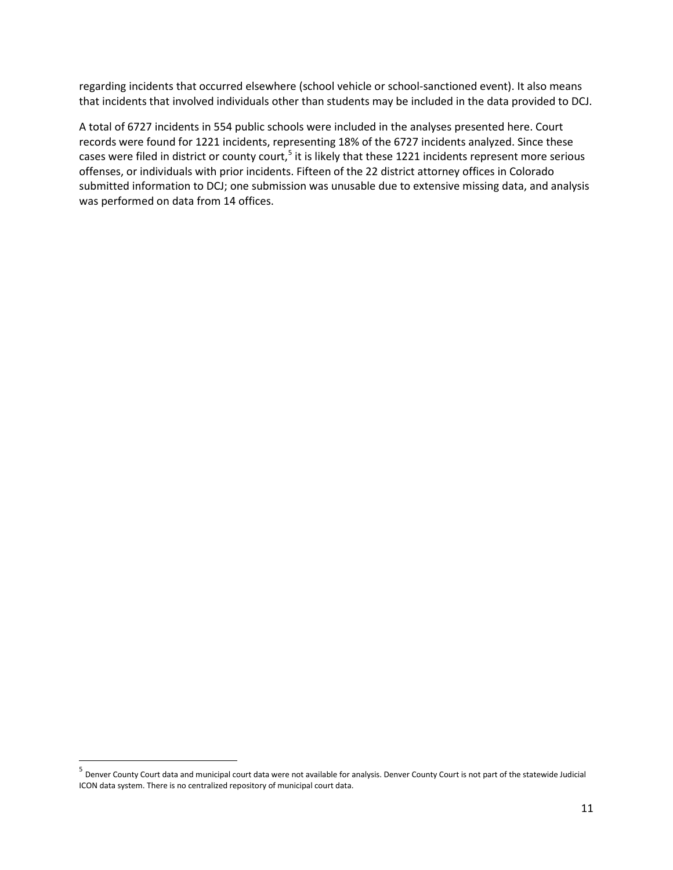regarding incidents that occurred elsewhere (school vehicle or school-sanctioned event). It also means that incidents that involved individuals other than students may be included in the data provided to DCJ.

A total of 6727 incidents in 554 public schools were included in the analyses presented here. Court records were found for 1221 incidents, representing 18% of the 6727 incidents analyzed. Since these cases were filed in district or county court,<sup>[5](#page-10-0)</sup> it is likely that these 1221 incidents represent more serious offenses, or individuals with prior incidents. Fifteen of the 22 district attorney offices in Colorado submitted information to DCJ; one submission was unusable due to extensive missing data, and analysis was performed on data from 14 offices.

<span id="page-10-0"></span> <sup>5</sup> Denver County Court data and municipal court data were not available for analysis. Denver County Court is not part of the statewide Judicial ICON data system. There is no centralized repository of municipal court data.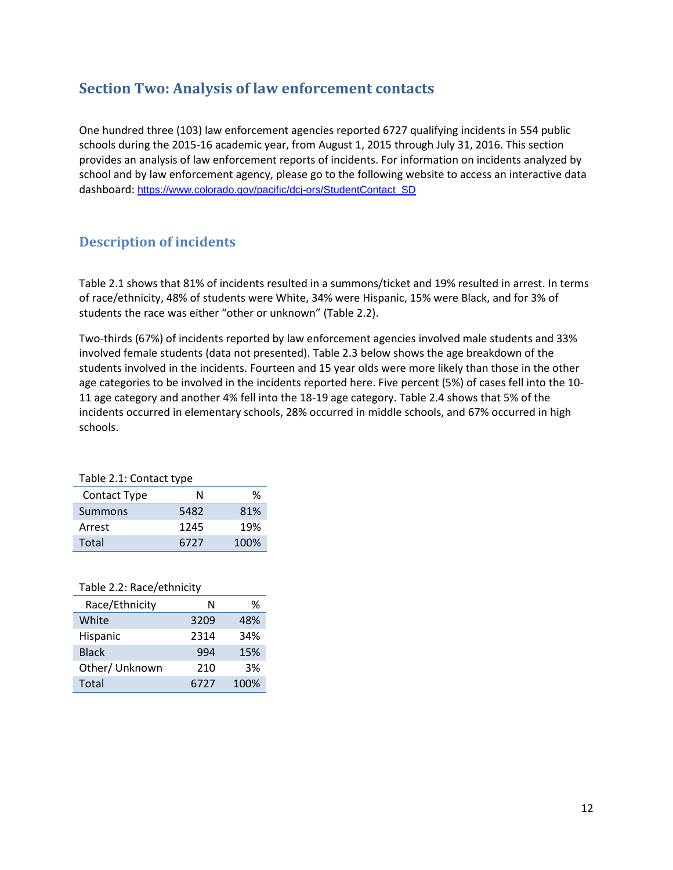## <span id="page-11-0"></span>**Section Two: Analysis of law enforcement contacts**

One hundred three (103) law enforcement agencies reported 6727 qualifying incidents in 554 public schools during the 2015-16 academic year, from August 1, 2015 through July 31, 2016. This section provides an analysis of law enforcement reports of incidents. For information on incidents analyzed by school and by law enforcement agency, please go to the following website to access an interactive data dashboard: [https://www.colorado.gov/pacific/dcj-ors/StudentContact\\_SD](https://www.colorado.gov/pacific/dcj-ors/StudentContact_SD)

### <span id="page-11-1"></span>**Description of incidents**

Table 2.1 shows that 81% of incidents resulted in a summons/ticket and 19% resulted in arrest. In terms of race/ethnicity, 48% of students were White, 34% were Hispanic, 15% were Black, and for 3% of students the race was either "other or unknown" (Table 2.2).

Two-thirds (67%) of incidents reported by law enforcement agencies involved male students and 33% involved female students (data not presented). Table 2.3 below shows the age breakdown of the students involved in the incidents. Fourteen and 15 year olds were more likely than those in the other age categories to be involved in the incidents reported here. Five percent (5%) of cases fell into the 10- 11 age category and another 4% fell into the 18-19 age category. Table 2.4 shows that 5% of the incidents occurred in elementary schools, 28% occurred in middle schools, and 67% occurred in high schools.

| Table 2.1: Contact type |      |      |  |  |  |
|-------------------------|------|------|--|--|--|
| Contact Type            | N    | %    |  |  |  |
| Summons                 | 5482 | 81%  |  |  |  |
| Arrest                  | 1245 | 19%  |  |  |  |
| Total                   | 6727 | 100% |  |  |  |

| Table 2.2: Race/ethnicity |
|---------------------------|
|---------------------------|

| Race/Ethnicity | N    | %    |
|----------------|------|------|
| White          | 3209 | 48%  |
| Hispanic       | 2314 | 34%  |
| <b>Black</b>   | 994  | 15%  |
| Other/ Unknown | 210  | 3%   |
| Total          | 6727 | 100% |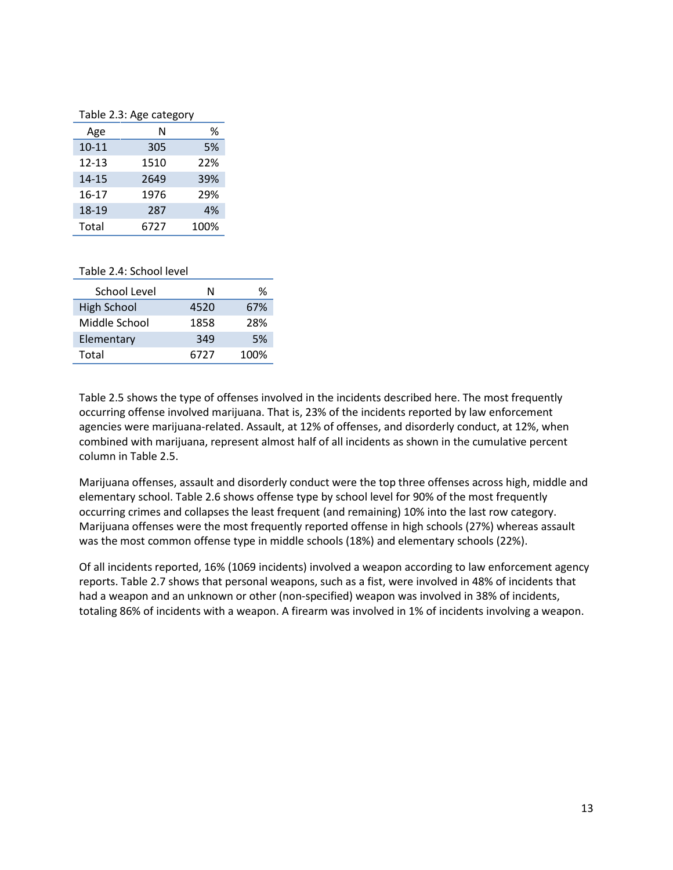#### Table 2.3: Age category

| Age       | N    | %    |
|-----------|------|------|
| $10 - 11$ | 305  | 5%   |
| $12 - 13$ | 1510 | 22%  |
| 14-15     | 2649 | 39%  |
| $16 - 17$ | 1976 | 29%  |
| 18-19     | 287  | 4%   |
| Total     | 6727 | 100% |

#### Table 2.4: School level

| <b>School Level</b> | N    | %    |
|---------------------|------|------|
| <b>High School</b>  | 4520 | 67%  |
| Middle School       | 1858 | 28%  |
| Elementary          | 349  | .5%  |
| Total               | 6727 | 100% |

Table 2.5 shows the type of offenses involved in the incidents described here. The most frequently occurring offense involved marijuana. That is, 23% of the incidents reported by law enforcement agencies were marijuana-related. Assault, at 12% of offenses, and disorderly conduct, at 12%, when combined with marijuana, represent almost half of all incidents as shown in the cumulative percent column in Table 2.5.

Marijuana offenses, assault and disorderly conduct were the top three offenses across high, middle and elementary school. Table 2.6 shows offense type by school level for 90% of the most frequently occurring crimes and collapses the least frequent (and remaining) 10% into the last row category. Marijuana offenses were the most frequently reported offense in high schools (27%) whereas assault was the most common offense type in middle schools (18%) and elementary schools (22%).

Of all incidents reported, 16% (1069 incidents) involved a weapon according to law enforcement agency reports. Table 2.7 shows that personal weapons, such as a fist, were involved in 48% of incidents that had a weapon and an unknown or other (non-specified) weapon was involved in 38% of incidents, totaling 86% of incidents with a weapon. A firearm was involved in 1% of incidents involving a weapon.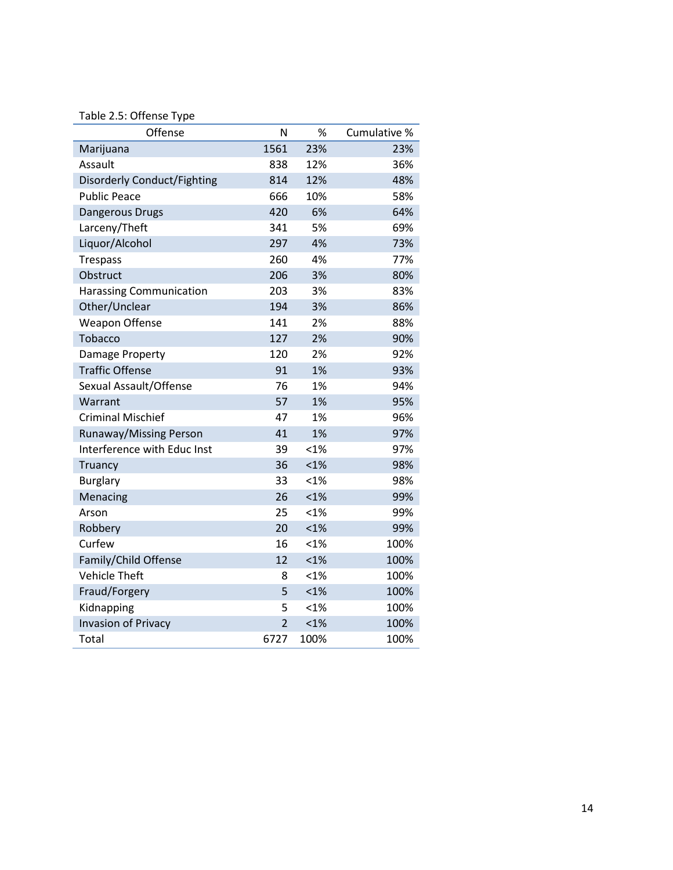### Table 2.5: Offense Type

| Offense                        | N              | %       | Cumulative % |
|--------------------------------|----------------|---------|--------------|
| Marijuana                      | 1561           | 23%     | 23%          |
| Assault                        | 838            | 12%     | 36%          |
| Disorderly Conduct/Fighting    | 814            | 12%     | 48%          |
| <b>Public Peace</b>            | 666            | 10%     | 58%          |
| Dangerous Drugs                | 420            | 6%      | 64%          |
| Larceny/Theft                  | 341            | 5%      | 69%          |
| Liquor/Alcohol                 | 297            | 4%      | 73%          |
| <b>Trespass</b>                | 260            | 4%      | 77%          |
| Obstruct                       | 206            | 3%      | 80%          |
| <b>Harassing Communication</b> | 203            | 3%      | 83%          |
| Other/Unclear                  | 194            | 3%      | 86%          |
| <b>Weapon Offense</b>          | 141            | 2%      | 88%          |
| Tobacco                        | 127            | 2%      | 90%          |
| Damage Property                | 120            | 2%      | 92%          |
| <b>Traffic Offense</b>         | 91             | 1%      | 93%          |
| Sexual Assault/Offense         | 76             | 1%      | 94%          |
| Warrant                        | 57             | 1%      | 95%          |
| <b>Criminal Mischief</b>       | 47             | 1%      | 96%          |
| Runaway/Missing Person         | 41             | 1%      | 97%          |
| Interference with Educ Inst    | 39             | $< 1\%$ | 97%          |
| <b>Truancy</b>                 | 36             | $< 1\%$ | 98%          |
| <b>Burglary</b>                | 33             | < 1%    | 98%          |
| Menacing                       | 26             | $< 1\%$ | 99%          |
| Arson                          | 25             | $< 1\%$ | 99%          |
| Robbery                        | 20             | $< 1\%$ | 99%          |
| Curfew                         | 16             | $< 1\%$ | 100%         |
| Family/Child Offense           | 12             | $< 1\%$ | 100%         |
| <b>Vehicle Theft</b>           | 8              | $< 1\%$ | 100%         |
| Fraud/Forgery                  | 5              | $< 1\%$ | 100%         |
| Kidnapping                     | 5              | < 1%    | 100%         |
| <b>Invasion of Privacy</b>     | $\overline{2}$ | $< 1\%$ | 100%         |
| Total                          | 6727           | 100%    | 100%         |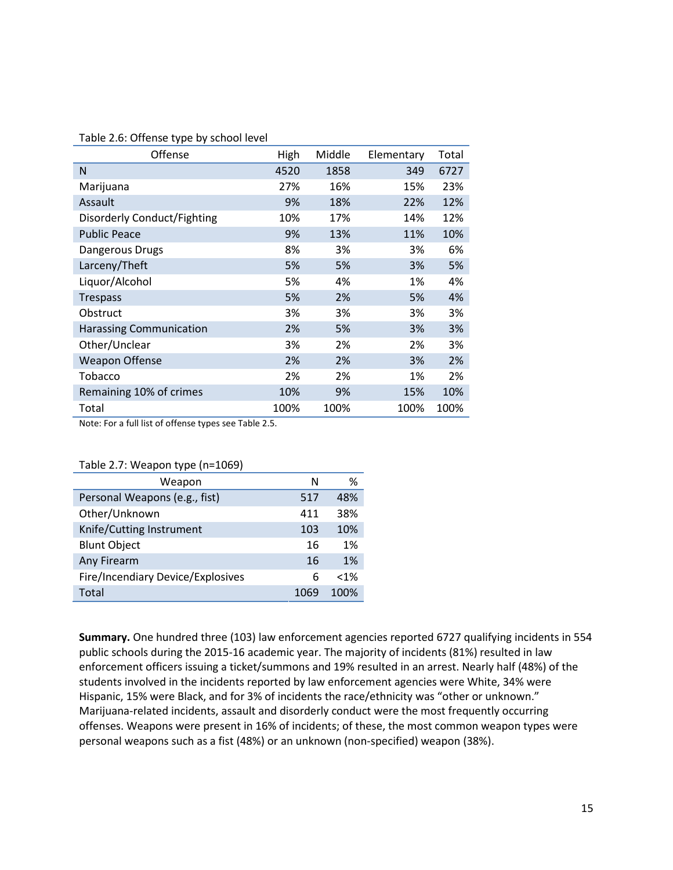#### Table 2.6: Offense type by school level

| Offense                        | High | Middle | Elementary | Total |
|--------------------------------|------|--------|------------|-------|
| N                              | 4520 | 1858   | 349        | 6727  |
| Marijuana                      | 27%  | 16%    | 15%        | 23%   |
| Assault                        | 9%   | 18%    | 22%        | 12%   |
| Disorderly Conduct/Fighting    | 10%  | 17%    | 14%        | 12%   |
| <b>Public Peace</b>            | 9%   | 13%    | 11%        | 10%   |
| Dangerous Drugs                | 8%   | 3%     | 3%         | 6%    |
| Larceny/Theft                  | 5%   | 5%     | 3%         | 5%    |
| Liquor/Alcohol                 | 5%   | 4%     | 1%         | 4%    |
| <b>Trespass</b>                | 5%   | 2%     | 5%         | 4%    |
| Obstruct                       | 3%   | 3%     | 3%         | 3%    |
| <b>Harassing Communication</b> | 2%   | 5%     | 3%         | 3%    |
| Other/Unclear                  | 3%   | 2%     | 2%         | 3%    |
| <b>Weapon Offense</b>          | 2%   | 2%     | 3%         | 2%    |
| Tobacco                        | 2%   | 2%     | 1%         | 2%    |
| Remaining 10% of crimes        | 10%  | 9%     | 15%        | 10%   |
| Total                          | 100% | 100%   | 100%       | 100%  |

Note: For a full list of offense types see Table 2.5.

| $1800C$ E.I. We capped the specific section |      |      |
|---------------------------------------------|------|------|
| Weapon                                      | N    | %    |
| Personal Weapons (e.g., fist)               | 517  | 48%  |
| Other/Unknown                               | 411  | 38%  |
| Knife/Cutting Instrument                    | 103  | 10%  |
| <b>Blunt Object</b>                         | 16   | 1%   |
| Any Firearm                                 | 16   | 1%   |
| Fire/Incendiary Device/Explosives           | 6    | < 1% |
| Total                                       | 1069 | 100% |

### Table 2.7: Weapon type (n=1069)

**Summary.** One hundred three (103) law enforcement agencies reported 6727 qualifying incidents in 554 public schools during the 2015-16 academic year. The majority of incidents (81%) resulted in law enforcement officers issuing a ticket/summons and 19% resulted in an arrest. Nearly half (48%) of the students involved in the incidents reported by law enforcement agencies were White, 34% were Hispanic, 15% were Black, and for 3% of incidents the race/ethnicity was "other or unknown." Marijuana-related incidents, assault and disorderly conduct were the most frequently occurring offenses. Weapons were present in 16% of incidents; of these, the most common weapon types were personal weapons such as a fist (48%) or an unknown (non-specified) weapon (38%).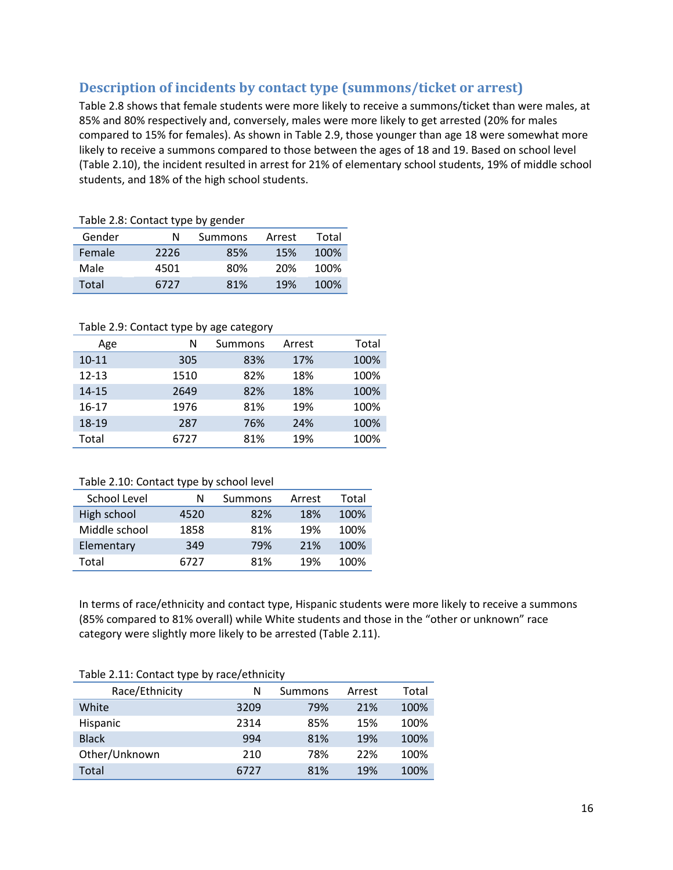### <span id="page-15-0"></span>**Description of incidents by contact type (summons/ticket or arrest)**

Table 2.8 shows that female students were more likely to receive a summons/ticket than were males, at 85% and 80% respectively and, conversely, males were more likely to get arrested (20% for males compared to 15% for females). As shown in Table 2.9, those younger than age 18 were somewhat more likely to receive a summons compared to those between the ages of 18 and 19. Based on school level (Table 2.10), the incident resulted in arrest for 21% of elementary school students, 19% of middle school students, and 18% of the high school students.

| Gender | N    | Summons | Arrest | Total |
|--------|------|---------|--------|-------|
| Female | 2226 | 85%     | 15%    | 100%  |
| Male   | 4501 | 80%     | 20%    | 100%  |
| Total  | 6727 | 81%     | 19%    | 100%  |

#### Table 2.9: Contact type by age category

| Age       | N    | Summons | Arrest | Total |
|-----------|------|---------|--------|-------|
| $10 - 11$ | 305  | 83%     | 17%    | 100%  |
| $12 - 13$ | 1510 | 82%     | 18%    | 100%  |
| $14 - 15$ | 2649 | 82%     | 18%    | 100%  |
| $16-17$   | 1976 | 81%     | 19%    | 100%  |
| 18-19     | 287  | 76%     | 24%    | 100%  |
| Total     | 6727 | 81%     | 19%    | 100%  |

#### Table 2.10: Contact type by school level

| <b>School Level</b> | N    | Summons | Arrest | Total |
|---------------------|------|---------|--------|-------|
| High school         | 4520 | 82%     | 18%    | 100%  |
| Middle school       | 1858 | 81%     | 19%    | 100%  |
| Elementary          | 349  | 79%     | 21%    | 100%  |
| Total               | 6727 | 81%     | 19%    | 100%  |

In terms of race/ethnicity and contact type, Hispanic students were more likely to receive a summons (85% compared to 81% overall) while White students and those in the "other or unknown" race category were slightly more likely to be arrested (Table 2.11).

| Table 2.11. Contact type by Tace/Culturety |      |         |        |       |  |  |  |  |  |
|--------------------------------------------|------|---------|--------|-------|--|--|--|--|--|
| Race/Ethnicity                             | N    | Summons | Arrest | Total |  |  |  |  |  |
| White                                      | 3209 | 79%     | 21%    | 100%  |  |  |  |  |  |
| Hispanic                                   | 2314 | 85%     | 15%    | 100%  |  |  |  |  |  |
| <b>Black</b>                               | 994  | 81%     | 19%    | 100%  |  |  |  |  |  |
| Other/Unknown                              | 210  | 78%     | 22%    | 100%  |  |  |  |  |  |
| Total                                      | 6727 | 81%     | 19%    | 100%  |  |  |  |  |  |

#### Table 2.11: Contact type by race/ethnicity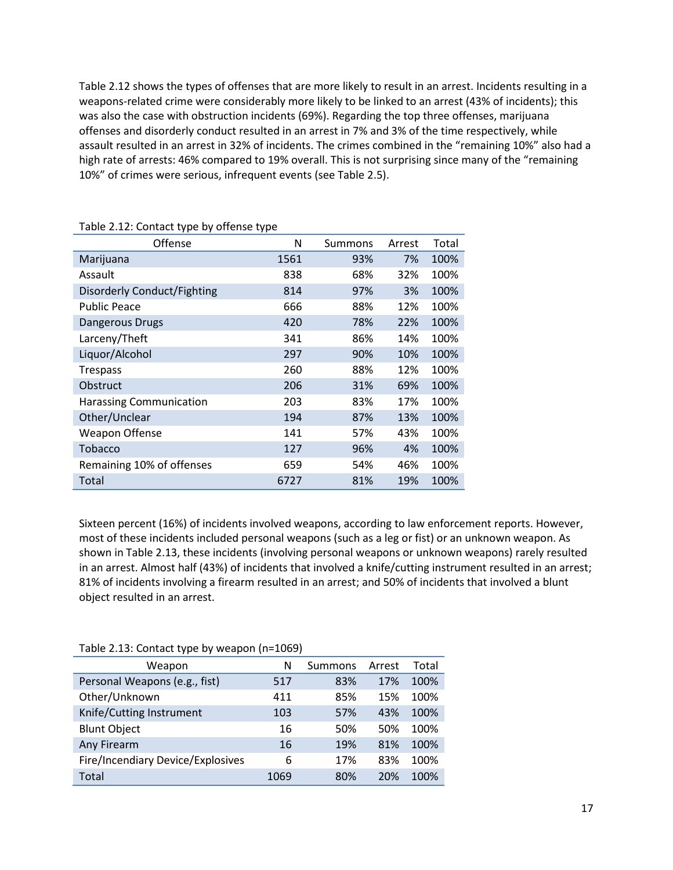Table 2.12 shows the types of offenses that are more likely to result in an arrest. Incidents resulting in a weapons-related crime were considerably more likely to be linked to an arrest (43% of incidents); this was also the case with obstruction incidents (69%). Regarding the top three offenses, marijuana offenses and disorderly conduct resulted in an arrest in 7% and 3% of the time respectively, while assault resulted in an arrest in 32% of incidents. The crimes combined in the "remaining 10%" also had a high rate of arrests: 46% compared to 19% overall. This is not surprising since many of the "remaining 10%" of crimes were serious, infrequent events (see Table 2.5).

| Offense                        | N    | Summons | Arrest | Total |
|--------------------------------|------|---------|--------|-------|
| Marijuana                      | 1561 | 93%     | 7%     | 100%  |
| Assault                        | 838  | 68%     | 32%    | 100%  |
| Disorderly Conduct/Fighting    | 814  | 97%     | 3%     | 100%  |
| <b>Public Peace</b>            | 666  | 88%     | 12%    | 100%  |
| Dangerous Drugs                | 420  | 78%     | 22%    | 100%  |
| Larceny/Theft                  | 341  | 86%     | 14%    | 100%  |
| Liquor/Alcohol                 | 297  | 90%     | 10%    | 100%  |
| <b>Trespass</b>                | 260  | 88%     | 12%    | 100%  |
| Obstruct                       | 206  | 31%     | 69%    | 100%  |
| <b>Harassing Communication</b> | 203  | 83%     | 17%    | 100%  |
| Other/Unclear                  | 194  | 87%     | 13%    | 100%  |
| <b>Weapon Offense</b>          | 141  | 57%     | 43%    | 100%  |
| <b>Tobacco</b>                 | 127  | 96%     | 4%     | 100%  |
| Remaining 10% of offenses      | 659  | 54%     | 46%    | 100%  |
| Total                          | 6727 | 81%     | 19%    | 100%  |

Table 2.12: Contact type by offense type

Sixteen percent (16%) of incidents involved weapons, according to law enforcement reports. However, most of these incidents included personal weapons (such as a leg or fist) or an unknown weapon. As shown in Table 2.13, these incidents (involving personal weapons or unknown weapons) rarely resulted in an arrest. Almost half (43%) of incidents that involved a knife/cutting instrument resulted in an arrest; 81% of incidents involving a firearm resulted in an arrest; and 50% of incidents that involved a blunt object resulted in an arrest.

| Table 2.15. Contact type by weapon $(11 - 1005)$ |      |         |        |       |  |  |  |
|--------------------------------------------------|------|---------|--------|-------|--|--|--|
| Weapon                                           | N    | Summons | Arrest | Total |  |  |  |
| Personal Weapons (e.g., fist)                    | 517  | 83%     | 17%    | 100%  |  |  |  |
| Other/Unknown                                    | 411  | 85%     | 15%    | 100%  |  |  |  |
| Knife/Cutting Instrument                         | 103  | 57%     | 43%    | 100%  |  |  |  |
| <b>Blunt Object</b>                              | 16   | 50%     | 50%    | 100%  |  |  |  |
| Any Firearm                                      | 16   | 19%     | 81%    | 100%  |  |  |  |
| Fire/Incendiary Device/Explosives                | 6    | 17%     | 83%    | 100%  |  |  |  |
| <b>Total</b>                                     | 1069 | 80%     | 20%    | 100%  |  |  |  |

Table  $2.13$ : Contact type by weapon (n=1069)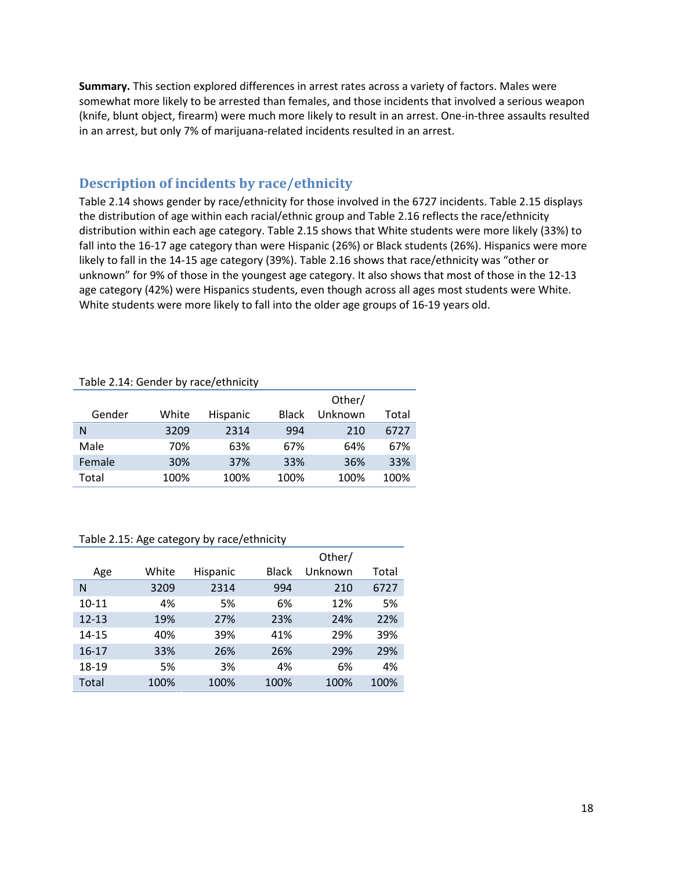**Summary.** This section explored differences in arrest rates across a variety of factors. Males were somewhat more likely to be arrested than females, and those incidents that involved a serious weapon (knife, blunt object, firearm) were much more likely to result in an arrest. One-in-three assaults resulted in an arrest, but only 7% of marijuana-related incidents resulted in an arrest.

### <span id="page-17-0"></span>**Description of incidents by race/ethnicity**

Table 2.14 shows gender by race/ethnicity for those involved in the 6727 incidents. Table 2.15 displays the distribution of age within each racial/ethnic group and Table 2.16 reflects the race/ethnicity distribution within each age category. Table 2.15 shows that White students were more likely (33%) to fall into the 16-17 age category than were Hispanic (26%) or Black students (26%). Hispanics were more likely to fall in the 14-15 age category (39%). Table 2.16 shows that race/ethnicity was "other or unknown" for 9% of those in the youngest age category. It also shows that most of those in the 12-13 age category (42%) were Hispanics students, even though across all ages most students were White. White students were more likely to fall into the older age groups of 16-19 years old.

| Table 2.14: Gender by race/ethnicity |        |                 |              |         |       |  |  |  |  |
|--------------------------------------|--------|-----------------|--------------|---------|-------|--|--|--|--|
|                                      | Other/ |                 |              |         |       |  |  |  |  |
| Gender                               | White  | <b>Hispanic</b> | <b>Black</b> | Unknown | Total |  |  |  |  |
| N                                    | 3209   | 2314            | 994          | 210     | 6727  |  |  |  |  |
| Male                                 | 70%    | 63%             | 67%          | 64%     | 67%   |  |  |  |  |
| Female                               | 30%    | 37%             | 33%          | 36%     | 33%   |  |  |  |  |
| Total                                | 100%   | 100%            | 100%         | 100%    | 100%  |  |  |  |  |

### Table 2.15: Age category by race/ethnicity

|           |       |          |              | Other/  |       |
|-----------|-------|----------|--------------|---------|-------|
| Age       | White | Hispanic | <b>Black</b> | Unknown | Total |
| N         | 3209  | 2314     | 994          | 210     | 6727  |
| $10 - 11$ | 4%    | 5%       | 6%           | 12%     | 5%    |
| $12 - 13$ | 19%   | 27%      | 23%          | 24%     | 22%   |
| $14 - 15$ | 40%   | 39%      | 41%          | 29%     | 39%   |
| $16 - 17$ | 33%   | 26%      | 26%          | 29%     | 29%   |
| 18-19     | 5%    | 3%       | 4%           | 6%      | 4%    |
| Total     | 100%  | 100%     | 100%         | 100%    | 100%  |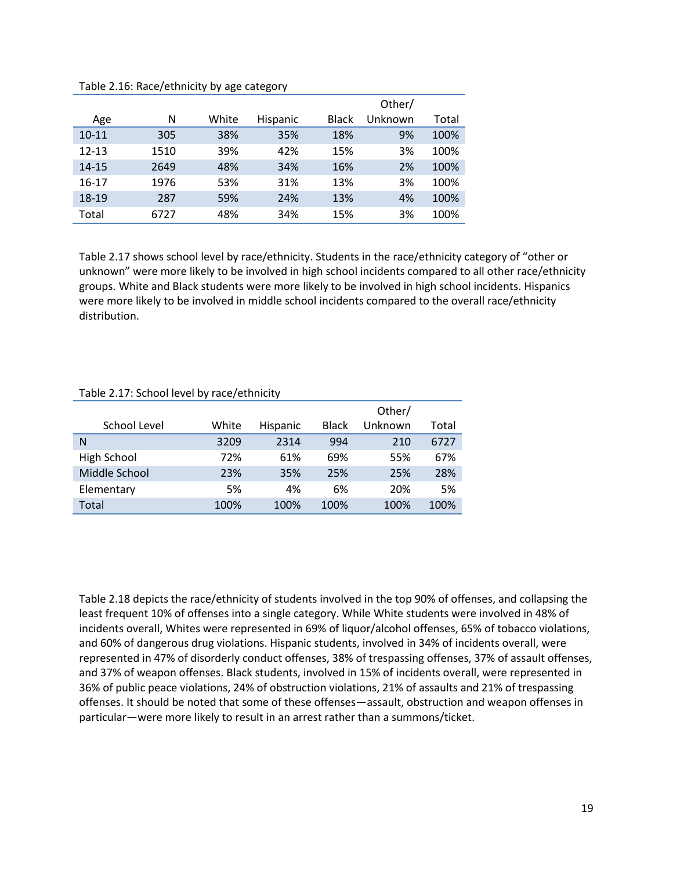|           |      |       |                 |       | Other/  |       |
|-----------|------|-------|-----------------|-------|---------|-------|
| Age       | N    | White | <b>Hispanic</b> | Black | Unknown | Total |
| $10 - 11$ | 305  | 38%   | 35%             | 18%   | 9%      | 100%  |
| $12 - 13$ | 1510 | 39%   | 42%             | 15%   | 3%      | 100%  |
| $14 - 15$ | 2649 | 48%   | 34%             | 16%   | 2%      | 100%  |
| 16-17     | 1976 | 53%   | 31%             | 13%   | 3%      | 100%  |
| 18-19     | 287  | 59%   | 24%             | 13%   | 4%      | 100%  |
| Total     | 6727 | 48%   | 34%             | 15%   | 3%      | 100%  |

Table 2.16: Race/ethnicity by age category

Table 2.17 shows school level by race/ethnicity. Students in the race/ethnicity category of "other or unknown" were more likely to be involved in high school incidents compared to all other race/ethnicity groups. White and Black students were more likely to be involved in high school incidents. Hispanics were more likely to be involved in middle school incidents compared to the overall race/ethnicity distribution.

#### Table 2.17: School level by race/ethnicity

|               |       |                 |              | Other/  |       |
|---------------|-------|-----------------|--------------|---------|-------|
| School Level  | White | <b>Hispanic</b> | <b>Black</b> | Unknown | Total |
| N             | 3209  | 2314            | 994          | 210     | 6727  |
| High School   | 72%   | 61%             | 69%          | 55%     | 67%   |
| Middle School | 23%   | 35%             | 25%          | 25%     | 28%   |
| Elementary    | 5%    | 4%              | 6%           | 20%     | 5%    |
| Total         | 100%  | 100%            | 100%         | 100%    | 100%  |

Table 2.18 depicts the race/ethnicity of students involved in the top 90% of offenses, and collapsing the least frequent 10% of offenses into a single category. While White students were involved in 48% of incidents overall, Whites were represented in 69% of liquor/alcohol offenses, 65% of tobacco violations, and 60% of dangerous drug violations. Hispanic students, involved in 34% of incidents overall, were represented in 47% of disorderly conduct offenses, 38% of trespassing offenses, 37% of assault offenses, and 37% of weapon offenses. Black students, involved in 15% of incidents overall, were represented in 36% of public peace violations, 24% of obstruction violations, 21% of assaults and 21% of trespassing offenses. It should be noted that some of these offenses—assault, obstruction and weapon offenses in particular—were more likely to result in an arrest rather than a summons/ticket.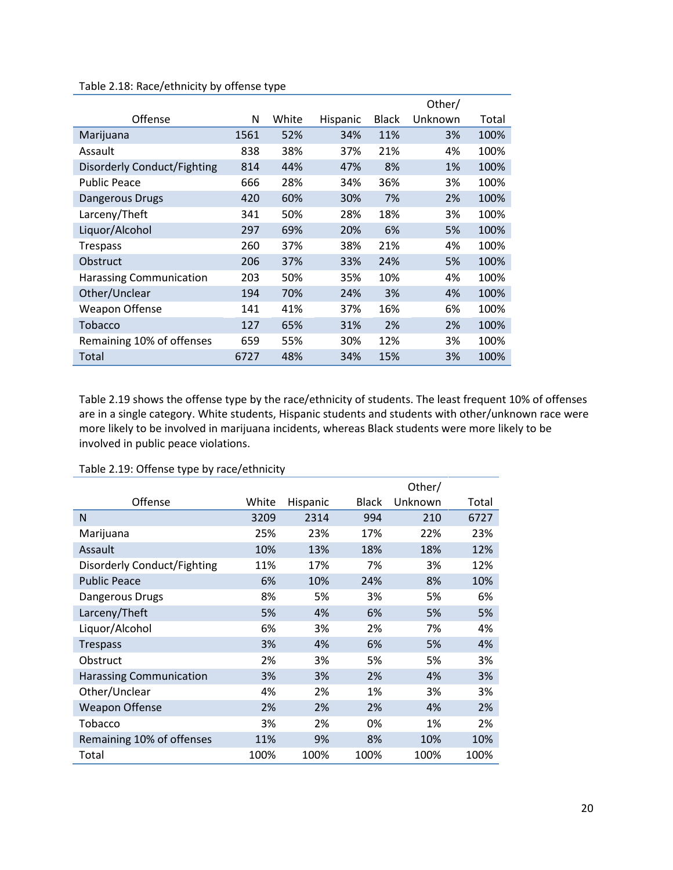|                                    |      |       |          |              | Other/  |       |
|------------------------------------|------|-------|----------|--------------|---------|-------|
| Offense                            | N    | White | Hispanic | <b>Black</b> | Unknown | Total |
| Marijuana                          | 1561 | 52%   | 34%      | 11%          | 3%      | 100%  |
| Assault                            | 838  | 38%   | 37%      | 21%          | 4%      | 100%  |
| <b>Disorderly Conduct/Fighting</b> | 814  | 44%   | 47%      | 8%           | 1%      | 100%  |
| <b>Public Peace</b>                | 666  | 28%   | 34%      | 36%          | 3%      | 100%  |
| Dangerous Drugs                    | 420  | 60%   | 30%      | 7%           | 2%      | 100%  |
| Larceny/Theft                      | 341  | 50%   | 28%      | 18%          | 3%      | 100%  |
| Liquor/Alcohol                     | 297  | 69%   | 20%      | 6%           | 5%      | 100%  |
| <b>Trespass</b>                    | 260  | 37%   | 38%      | 21%          | 4%      | 100%  |
| Obstruct                           | 206  | 37%   | 33%      | 24%          | 5%      | 100%  |
| <b>Harassing Communication</b>     | 203  | 50%   | 35%      | 10%          | 4%      | 100%  |
| Other/Unclear                      | 194  | 70%   | 24%      | 3%           | 4%      | 100%  |
| <b>Weapon Offense</b>              | 141  | 41%   | 37%      | 16%          | 6%      | 100%  |
| Tobacco                            | 127  | 65%   | 31%      | 2%           | 2%      | 100%  |
| Remaining 10% of offenses          | 659  | 55%   | 30%      | 12%          | 3%      | 100%  |
| Total                              | 6727 | 48%   | 34%      | 15%          | 3%      | 100%  |

Table 2.18: Race/ethnicity by offense type

Table 2.19 shows the offense type by the race/ethnicity of students. The least frequent 10% of offenses are in a single category. White students, Hispanic students and students with other/unknown race were more likely to be involved in marijuana incidents, whereas Black students were more likely to be involved in public peace violations.

| Table 2.19: Offense type by race/ethnicity |                |  |                |              |  |  |  |  |
|--------------------------------------------|----------------|--|----------------|--------------|--|--|--|--|
|                                            |                |  |                |              |  |  |  |  |
|                                            | <b>Offense</b> |  | White Hispanic | <b>Black</b> |  |  |  |  |

|                                |       |          |              | Other/  |       |
|--------------------------------|-------|----------|--------------|---------|-------|
| Offense                        | White | Hispanic | <b>Black</b> | Unknown | Total |
| N                              | 3209  | 2314     | 994          | 210     | 6727  |
| Marijuana                      | 25%   | 23%      | 17%          | 22%     | 23%   |
| Assault                        | 10%   | 13%      | 18%          | 18%     | 12%   |
| Disorderly Conduct/Fighting    | 11%   | 17%      | 7%           | 3%      | 12%   |
| <b>Public Peace</b>            | 6%    | 10%      | 24%          | 8%      | 10%   |
| Dangerous Drugs                | 8%    | 5%       | 3%           | 5%      | 6%    |
| Larceny/Theft                  | 5%    | 4%       | 6%           | 5%      | 5%    |
| Liquor/Alcohol                 | 6%    | 3%       | 2%           | 7%      | 4%    |
| <b>Trespass</b>                | 3%    | 4%       | 6%           | 5%      | 4%    |
| Obstruct                       | 2%    | 3%       | 5%           | 5%      | 3%    |
| <b>Harassing Communication</b> | 3%    | 3%       | 2%           | 4%      | 3%    |
| Other/Unclear                  | 4%    | 2%       | 1%           | 3%      | 3%    |
| <b>Weapon Offense</b>          | 2%    | 2%       | 2%           | 4%      | 2%    |
| Tobacco                        | 3%    | 2%       | 0%           | 1%      | 2%    |
| Remaining 10% of offenses      | 11%   | 9%       | 8%           | 10%     | 10%   |
| Total                          | 100%  | 100%     | 100%         | 100%    | 100%  |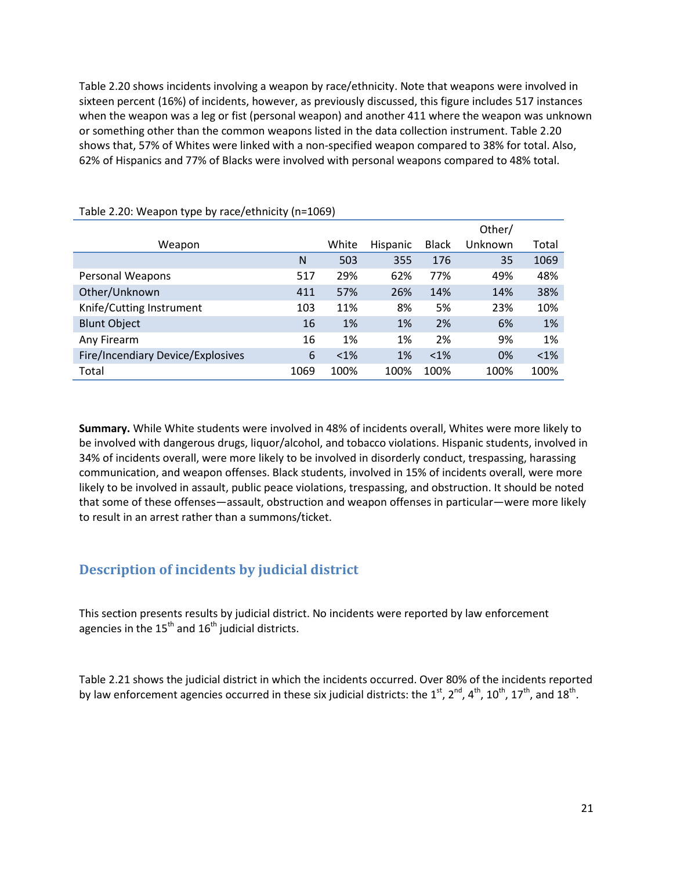Table 2.20 shows incidents involving a weapon by race/ethnicity. Note that weapons were involved in sixteen percent (16%) of incidents, however, as previously discussed, this figure includes 517 instances when the weapon was a leg or fist (personal weapon) and another 411 where the weapon was unknown or something other than the common weapons listed in the data collection instrument. Table 2.20 shows that, 57% of Whites were linked with a non-specified weapon compared to 38% for total. Also, 62% of Hispanics and 77% of Blacks were involved with personal weapons compared to 48% total.

|                                   |      |         |                 |              | Other/  |         |
|-----------------------------------|------|---------|-----------------|--------------|---------|---------|
| Weapon                            |      | White   | <b>Hispanic</b> | <b>Black</b> | Unknown | Total   |
|                                   | N    | 503     | 355             | 176          | 35      | 1069    |
| Personal Weapons                  | 517  | 29%     | 62%             | 77%          | 49%     | 48%     |
| Other/Unknown                     | 411  | 57%     | 26%             | 14%          | 14%     | 38%     |
| Knife/Cutting Instrument          | 103  | 11%     | 8%              | 5%           | 23%     | 10%     |
| <b>Blunt Object</b>               | 16   | 1%      | 1%              | 2%           | 6%      | 1%      |
| Any Firearm                       | 16   | 1%      | 1%              | 2%           | 9%      | 1%      |
| Fire/Incendiary Device/Explosives | 6    | $< 1\%$ | 1%              | $< 1\%$      | 0%      | $< 1\%$ |
| Total                             | 1069 | 100%    | 100%            | 100%         | 100%    | 100%    |

Table 2.20: Weapon type by race/ethnicity (n=1069)

**Summary.** While White students were involved in 48% of incidents overall, Whites were more likely to be involved with dangerous drugs, liquor/alcohol, and tobacco violations. Hispanic students, involved in 34% of incidents overall, were more likely to be involved in disorderly conduct, trespassing, harassing communication, and weapon offenses. Black students, involved in 15% of incidents overall, were more likely to be involved in assault, public peace violations, trespassing, and obstruction. It should be noted that some of these offenses—assault, obstruction and weapon offenses in particular—were more likely to result in an arrest rather than a summons/ticket.

## <span id="page-20-0"></span>**Description of incidents by judicial district**

This section presents results by judicial district. No incidents were reported by law enforcement agencies in the  $15<sup>th</sup>$  and  $16<sup>th</sup>$  judicial districts.

Table 2.21 shows the judicial district in which the incidents occurred. Over 80% of the incidents reported by law enforcement agencies occurred in these six judicial districts: the  $1^{st}$ ,  $2^{nd}$ ,  $4^{th}$ ,  $10^{th}$ ,  $17^{th}$ , and  $18^{th}$ .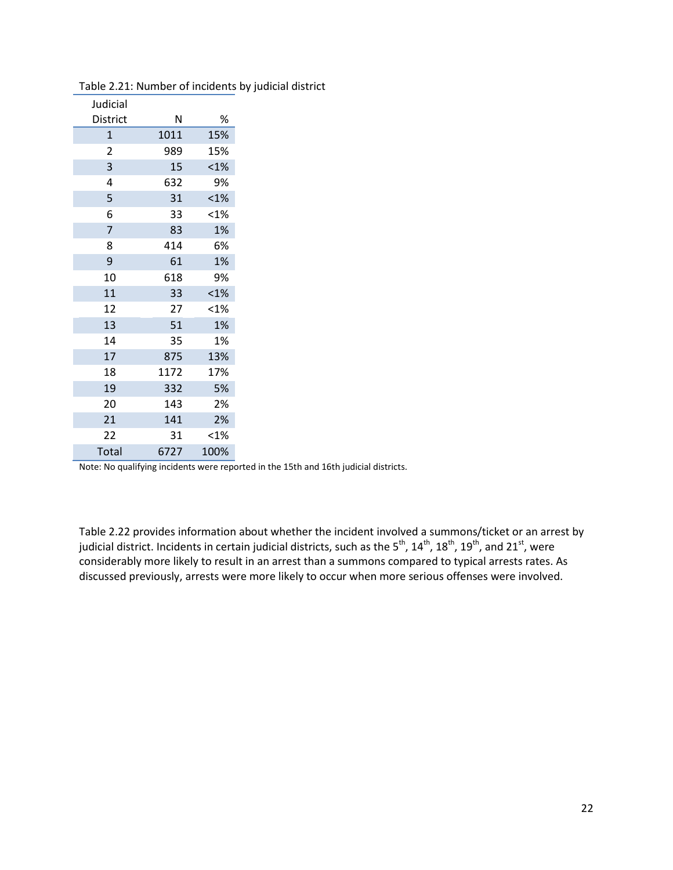| Judicial       |      |         |
|----------------|------|---------|
| District       | Ν    | ℅       |
| $\mathbf{1}$   | 1011 | 15%     |
| $\overline{2}$ | 989  | 15%     |
| 3              | 15   | $< 1\%$ |
| 4              | 632  | 9%      |
| 5              | 31   | < 1%    |
| 6              | 33   | < 1%    |
| 7              | 83   | 1%      |
| 8              | 414  | 6%      |
| 9              | 61   | 1%      |
| 10             | 618  | 9%      |
| 11             | 33   | < 1%    |
| 12             | 27   | $< 1\%$ |
| 13             | 51   | 1%      |
| 14             | 35   | 1%      |
| 17             | 875  | 13%     |
| 18             | 1172 | 17%     |
| 19             | 332  | 5%      |
| 20             | 143  | 2%      |
| 21             | 141  | 2%      |
| 22             | 31   | < 1%    |
| <b>Total</b>   | 6727 | 100%    |

| Table 2.21: Number of incidents by judicial district |  |  |
|------------------------------------------------------|--|--|
|------------------------------------------------------|--|--|

Note: No qualifying incidents were reported in the 15th and 16th judicial districts.

Table 2.22 provides information about whether the incident involved a summons/ticket or an arrest by judicial district. Incidents in certain judicial districts, such as the 5<sup>th</sup>, 14<sup>th</sup>, 18<sup>th</sup>, 19<sup>th</sup>, and 21<sup>st</sup>, were considerably more likely to result in an arrest than a summons compared to typical arrests rates. As discussed previously, arrests were more likely to occur when more serious offenses were involved.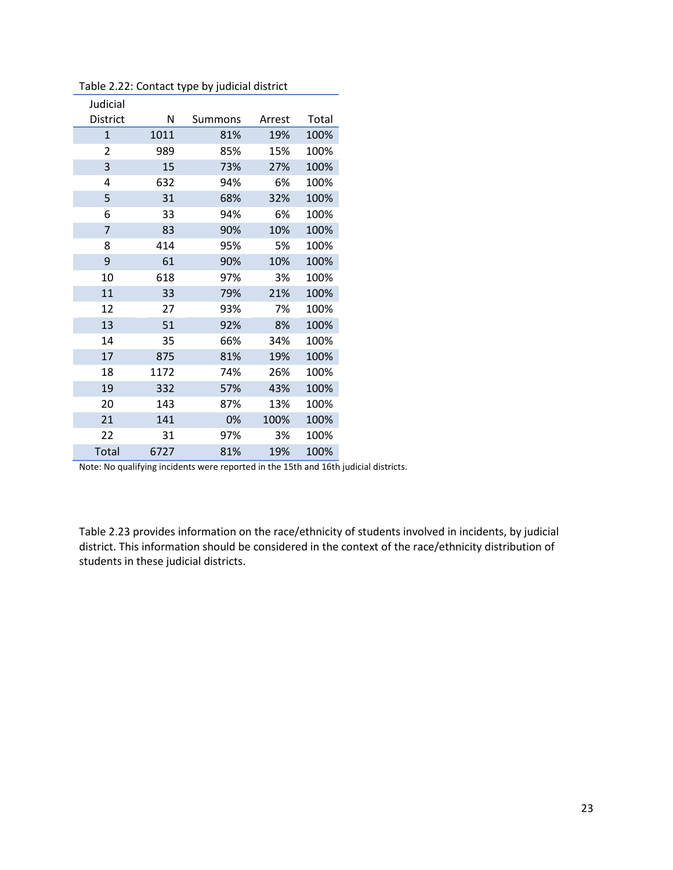| Judicial     |      |         |        |       |
|--------------|------|---------|--------|-------|
| District     | Ν    | Summons | Arrest | Total |
| 1            | 1011 | 81%     | 19%    | 100%  |
| 2            | 989  | 85%     | 15%    | 100%  |
| 3            | 15   | 73%     | 27%    | 100%  |
| 4            | 632  | 94%     | 6%     | 100%  |
| 5            | 31   | 68%     | 32%    | 100%  |
| 6            | 33   | 94%     | 6%     | 100%  |
| 7            | 83   | 90%     | 10%    | 100%  |
| 8            | 414  | 95%     | 5%     | 100%  |
| 9            | 61   | 90%     | 10%    | 100%  |
| 10           | 618  | 97%     | 3%     | 100%  |
| 11           | 33   | 79%     | 21%    | 100%  |
| 12           | 27   | 93%     | 7%     | 100%  |
| 13           | 51   | 92%     | 8%     | 100%  |
| 14           | 35   | 66%     | 34%    | 100%  |
| 17           | 875  | 81%     | 19%    | 100%  |
| 18           | 1172 | 74%     | 26%    | 100%  |
| 19           | 332  | 57%     | 43%    | 100%  |
| 20           | 143  | 87%     | 13%    | 100%  |
| 21           | 141  | 0%      | 100%   | 100%  |
| 22           | 31   | 97%     | 3%     | 100%  |
| <b>Total</b> | 6727 | 81%     | 19%    | 100%  |

Table 2.22: Contact type by judicial district

Note: No qualifying incidents were reported in the 15th and 16th judicial districts.

Table 2.23 provides information on the race/ethnicity of students involved in incidents, by judicial district. This information should be considered in the context of the race/ethnicity distribution of students in these judicial districts.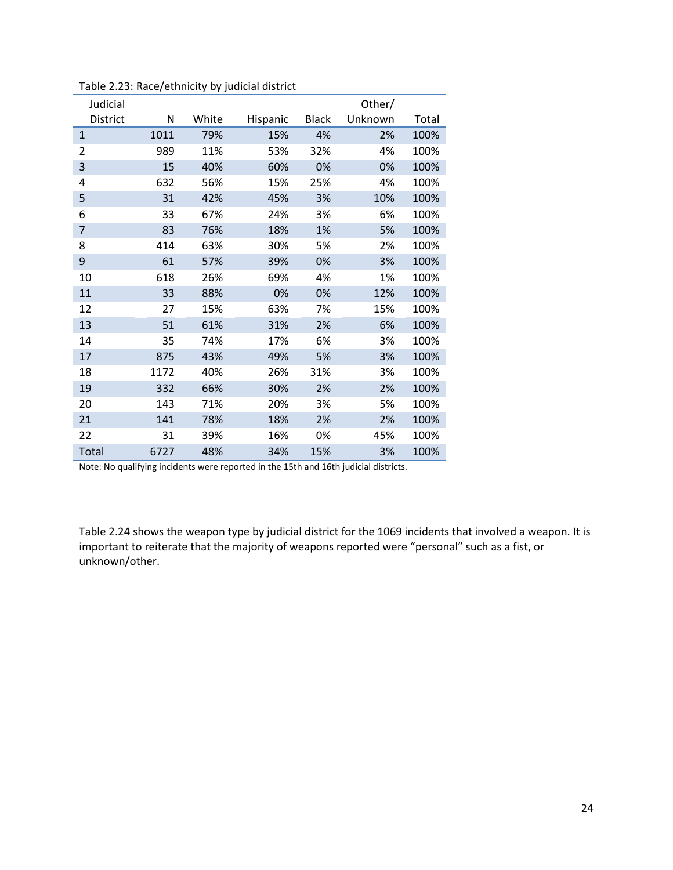| Judicial        |      |       |          |              | Other/  |       |
|-----------------|------|-------|----------|--------------|---------|-------|
| <b>District</b> | N    | White | Hispanic | <b>Black</b> | Unknown | Total |
| $\mathbf{1}$    | 1011 | 79%   | 15%      | 4%           | 2%      | 100%  |
| $\overline{2}$  | 989  | 11%   | 53%      | 32%          | 4%      | 100%  |
| 3               | 15   | 40%   | 60%      | 0%           | 0%      | 100%  |
| 4               | 632  | 56%   | 15%      | 25%          | 4%      | 100%  |
| 5               | 31   | 42%   | 45%      | 3%           | 10%     | 100%  |
| 6               | 33   | 67%   | 24%      | 3%           | 6%      | 100%  |
| 7               | 83   | 76%   | 18%      | 1%           | 5%      | 100%  |
| 8               | 414  | 63%   | 30%      | 5%           | 2%      | 100%  |
| 9               | 61   | 57%   | 39%      | 0%           | 3%      | 100%  |
| 10              | 618  | 26%   | 69%      | 4%           | 1%      | 100%  |
| 11              | 33   | 88%   | 0%       | 0%           | 12%     | 100%  |
| 12              | 27   | 15%   | 63%      | 7%           | 15%     | 100%  |
| 13              | 51   | 61%   | 31%      | 2%           | 6%      | 100%  |
| 14              | 35   | 74%   | 17%      | 6%           | 3%      | 100%  |
| 17              | 875  | 43%   | 49%      | 5%           | 3%      | 100%  |
| 18              | 1172 | 40%   | 26%      | 31%          | 3%      | 100%  |
| 19              | 332  | 66%   | 30%      | 2%           | 2%      | 100%  |
| 20              | 143  | 71%   | 20%      | 3%           | 5%      | 100%  |
| 21              | 141  | 78%   | 18%      | 2%           | 2%      | 100%  |
| 22              | 31   | 39%   | 16%      | 0%           | 45%     | 100%  |
| Total           | 6727 | 48%   | 34%      | 15%          | 3%      | 100%  |

Table 2.23: Race/ethnicity by judicial district

Note: No qualifying incidents were reported in the 15th and 16th judicial districts.

Table 2.24 shows the weapon type by judicial district for the 1069 incidents that involved a weapon. It is important to reiterate that the majority of weapons reported were "personal" such as a fist, or unknown/other.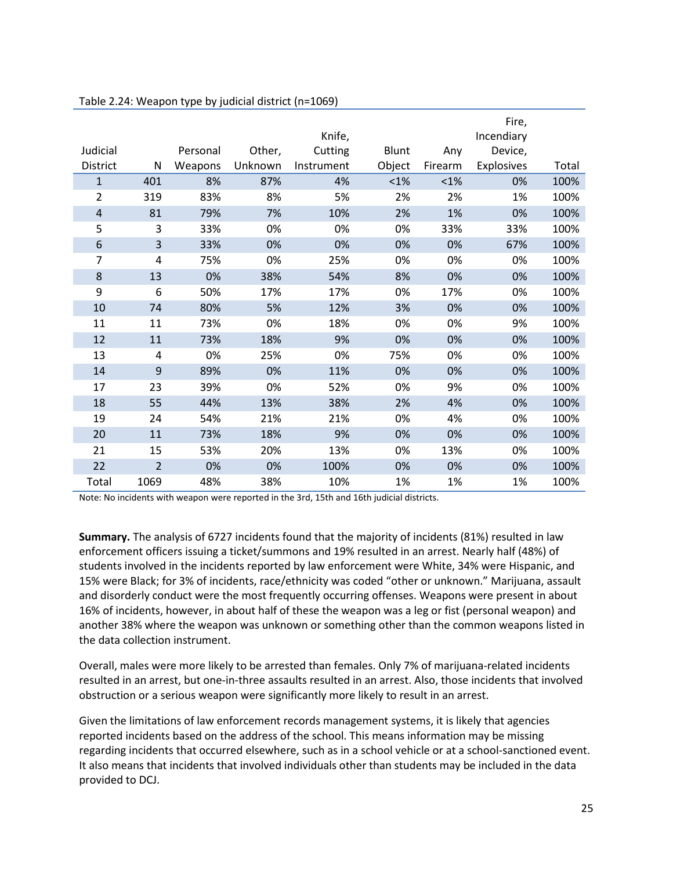|                |                |          |         |            |         |         | Fire,      |       |
|----------------|----------------|----------|---------|------------|---------|---------|------------|-------|
|                |                |          |         | Knife,     |         |         | Incendiary |       |
| Judicial       |                | Personal | Other,  | Cutting    | Blunt   | Any     | Device,    |       |
| District       | N              | Weapons  | Unknown | Instrument | Object  | Firearm | Explosives | Total |
| $\mathbf{1}$   | 401            | 8%       | 87%     | 4%         | $< 1\%$ | $< 1\%$ | 0%         | 100%  |
| 2              | 319            | 83%      | 8%      | 5%         | 2%      | 2%      | 1%         | 100%  |
| $\overline{4}$ | 81             | 79%      | 7%      | 10%        | 2%      | 1%      | 0%         | 100%  |
| 5              | 3              | 33%      | 0%      | 0%         | 0%      | 33%     | 33%        | 100%  |
| 6              | 3              | 33%      | 0%      | 0%         | 0%      | 0%      | 67%        | 100%  |
| $\overline{7}$ | 4              | 75%      | 0%      | 25%        | 0%      | 0%      | 0%         | 100%  |
| 8              | 13             | 0%       | 38%     | 54%        | 8%      | 0%      | 0%         | 100%  |
| 9              | 6              | 50%      | 17%     | 17%        | 0%      | 17%     | 0%         | 100%  |
| 10             | 74             | 80%      | 5%      | 12%        | 3%      | 0%      | 0%         | 100%  |
| 11             | 11             | 73%      | 0%      | 18%        | 0%      | 0%      | 9%         | 100%  |
| 12             | 11             | 73%      | 18%     | 9%         | 0%      | 0%      | 0%         | 100%  |
| 13             | 4              | 0%       | 25%     | 0%         | 75%     | 0%      | 0%         | 100%  |
| 14             | 9              | 89%      | 0%      | 11%        | 0%      | 0%      | 0%         | 100%  |
| 17             | 23             | 39%      | 0%      | 52%        | 0%      | 9%      | 0%         | 100%  |
| 18             | 55             | 44%      | 13%     | 38%        | 2%      | 4%      | 0%         | 100%  |
| 19             | 24             | 54%      | 21%     | 21%        | 0%      | 4%      | 0%         | 100%  |
| 20             | 11             | 73%      | 18%     | 9%         | 0%      | 0%      | 0%         | 100%  |
| 21             | 15             | 53%      | 20%     | 13%        | 0%      | 13%     | 0%         | 100%  |
| 22             | $\overline{2}$ | 0%       | 0%      | 100%       | 0%      | 0%      | 0%         | 100%  |
| Total          | 1069           | 48%      | 38%     | 10%        | 1%      | 1%      | 1%         | 100%  |

#### Table 2.24: Weapon type by judicial district (n=1069)

Note: No incidents with weapon were reported in the 3rd, 15th and 16th judicial districts.

**Summary.** The analysis of 6727 incidents found that the majority of incidents (81%) resulted in law enforcement officers issuing a ticket/summons and 19% resulted in an arrest. Nearly half (48%) of students involved in the incidents reported by law enforcement were White, 34% were Hispanic, and 15% were Black; for 3% of incidents, race/ethnicity was coded "other or unknown." Marijuana, assault and disorderly conduct were the most frequently occurring offenses. Weapons were present in about 16% of incidents, however, in about half of these the weapon was a leg or fist (personal weapon) and another 38% where the weapon was unknown or something other than the common weapons listed in the data collection instrument.

Overall, males were more likely to be arrested than females. Only 7% of marijuana-related incidents resulted in an arrest, but one-in-three assaults resulted in an arrest. Also, those incidents that involved obstruction or a serious weapon were significantly more likely to result in an arrest.

Given the limitations of law enforcement records management systems, it is likely that agencies reported incidents based on the address of the school. This means information may be missing regarding incidents that occurred elsewhere, such as in a school vehicle or at a school-sanctioned event. It also means that incidents that involved individuals other than students may be included in the data provided to DCJ.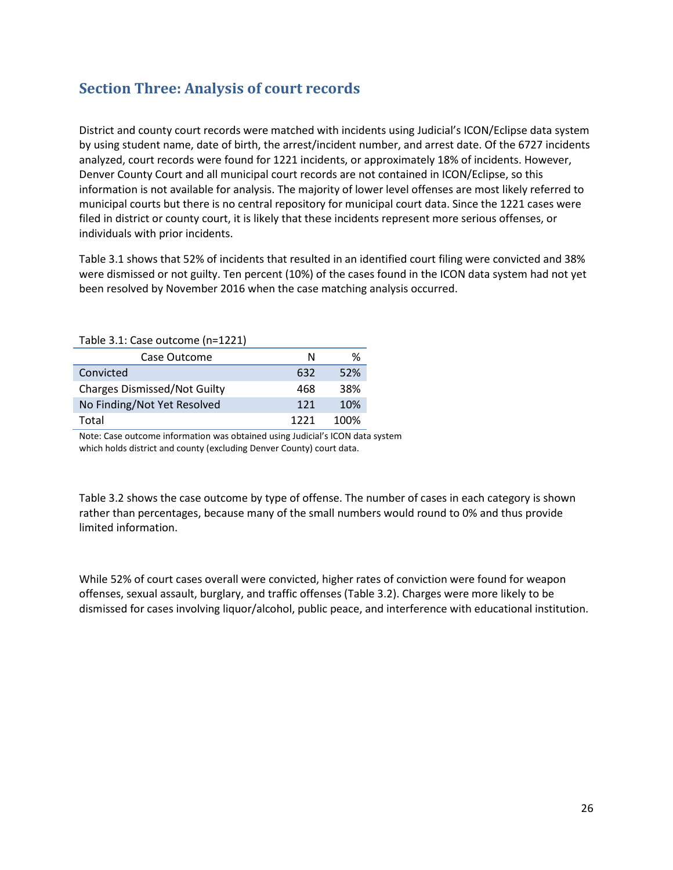# <span id="page-25-0"></span>**Section Three: Analysis of court records**

District and county court records were matched with incidents using Judicial's ICON/Eclipse data system by using student name, date of birth, the arrest/incident number, and arrest date. Of the 6727 incidents analyzed, court records were found for 1221 incidents, or approximately 18% of incidents. However, Denver County Court and all municipal court records are not contained in ICON/Eclipse, so this information is not available for analysis. The majority of lower level offenses are most likely referred to municipal courts but there is no central repository for municipal court data. Since the 1221 cases were filed in district or county court, it is likely that these incidents represent more serious offenses, or individuals with prior incidents.

Table 3.1 shows that 52% of incidents that resulted in an identified court filing were convicted and 38% were dismissed or not guilty. Ten percent (10%) of the cases found in the ICON data system had not yet been resolved by November 2016 when the case matching analysis occurred.

| Table 3.1: Case outcome (n=1221)    |      |      |
|-------------------------------------|------|------|
| Case Outcome                        | N    | %    |
| Convicted                           | 632  | 52%  |
| <b>Charges Dismissed/Not Guilty</b> | 468  | 38%  |
| No Finding/Not Yet Resolved         | 121  | 10%  |
| Total                               | 1221 | 100% |

Note: Case outcome information was obtained using Judicial's ICON data system which holds district and county (excluding Denver County) court data.

Table 3.2 shows the case outcome by type of offense. The number of cases in each category is shown rather than percentages, because many of the small numbers would round to 0% and thus provide limited information.

While 52% of court cases overall were convicted, higher rates of conviction were found for weapon offenses, sexual assault, burglary, and traffic offenses (Table 3.2). Charges were more likely to be dismissed for cases involving liquor/alcohol, public peace, and interference with educational institution.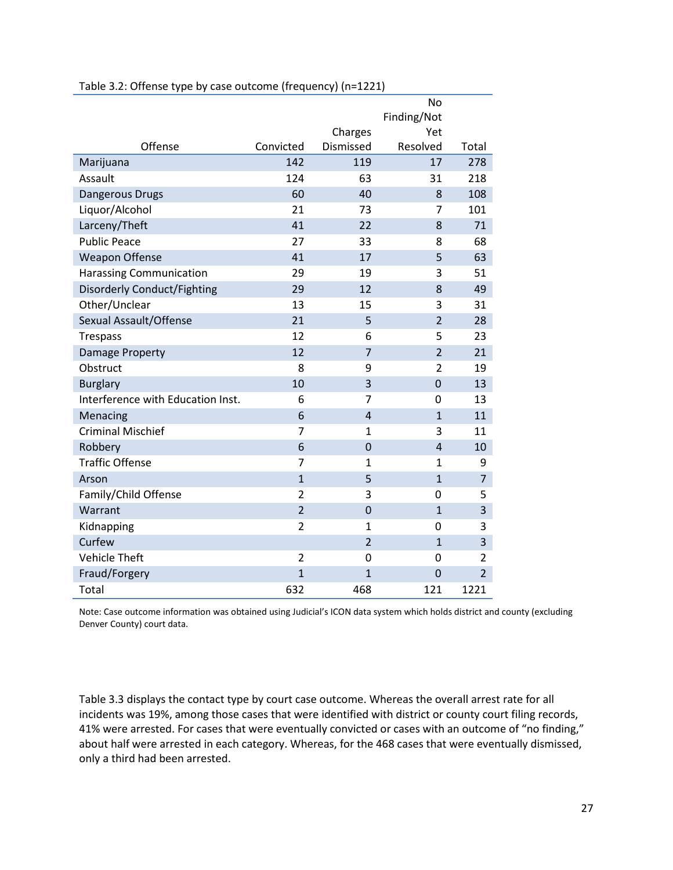|                                    |                |                | No             |                |
|------------------------------------|----------------|----------------|----------------|----------------|
|                                    |                |                | Finding/Not    |                |
|                                    |                | Charges        | Yet            |                |
| Offense                            | Convicted      | Dismissed      | Resolved       | Total          |
| Marijuana                          | 142            | 119            | 17             | 278            |
| Assault                            | 124            | 63             | 31             | 218            |
| Dangerous Drugs                    | 60             | 40             | 8              | 108            |
| Liquor/Alcohol                     | 21             | 73             | 7              | 101            |
| Larceny/Theft                      | 41             | 22             | 8              | 71             |
| <b>Public Peace</b>                | 27             | 33             | 8              | 68             |
| <b>Weapon Offense</b>              | 41             | 17             | 5              | 63             |
| <b>Harassing Communication</b>     | 29             | 19             | 3              | 51             |
| <b>Disorderly Conduct/Fighting</b> | 29             | 12             | 8              | 49             |
| Other/Unclear                      | 13             | 15             | 3              | 31             |
| Sexual Assault/Offense             | 21             | 5              | $\overline{2}$ | 28             |
| <b>Trespass</b>                    | 12             | 6              | 5              | 23             |
| Damage Property                    | 12             | $\overline{7}$ | $\overline{2}$ | 21             |
| Obstruct                           | 8              | 9              | $\overline{2}$ | 19             |
| <b>Burglary</b>                    | 10             | 3              | 0              | 13             |
| Interference with Education Inst.  | 6              | 7              | 0              | 13             |
| Menacing                           | 6              | $\overline{4}$ | $\mathbf{1}$   | 11             |
| <b>Criminal Mischief</b>           | 7              | 1              | 3              | 11             |
| Robbery                            | 6              | $\overline{0}$ | $\overline{4}$ | 10             |
| <b>Traffic Offense</b>             | 7              | $\mathbf{1}$   | 1              | 9              |
| Arson                              | $\overline{1}$ | 5              | $\overline{1}$ | $\overline{7}$ |
| Family/Child Offense               | $\overline{2}$ | 3              | 0              | 5              |
| Warrant                            | $\overline{2}$ | $\overline{0}$ | $\mathbf{1}$   | 3              |
| Kidnapping                         | $\overline{2}$ | $\mathbf{1}$   | 0              | 3              |
| Curfew                             |                | $\overline{2}$ | $\mathbf{1}$   | 3              |
| <b>Vehicle Theft</b>               | $\overline{2}$ | 0              | 0              | $\overline{2}$ |
| Fraud/Forgery                      | $\mathbf{1}$   | $\mathbf{1}$   | 0              | $\overline{2}$ |
| <b>Total</b>                       | 632            | 468            | 121            | 1221           |

### Table 3.2: Offense type by case outcome (frequency) (n=1221)

Note: Case outcome information was obtained using Judicial's ICON data system which holds district and county (excluding Denver County) court data.

Table 3.3 displays the contact type by court case outcome. Whereas the overall arrest rate for all incidents was 19%, among those cases that were identified with district or county court filing records, 41% were arrested. For cases that were eventually convicted or cases with an outcome of "no finding," about half were arrested in each category. Whereas, for the 468 cases that were eventually dismissed, only a third had been arrested.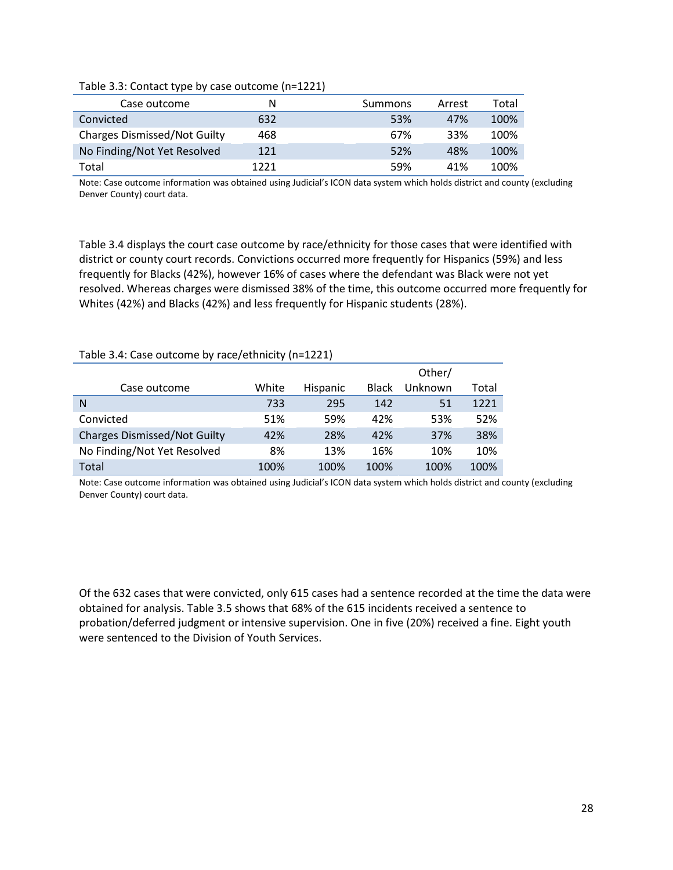| Case outcome                        | N    | Summons | Arrest | Total |
|-------------------------------------|------|---------|--------|-------|
| Convicted                           | 632  | 53%     | 47%    | 100%  |
| <b>Charges Dismissed/Not Guilty</b> | 468  | 67%     | 33%    | 100%  |
| No Finding/Not Yet Resolved         | 121  | 52%     | 48%    | 100%  |
| Total                               | 1771 | 59%     | 41%    | 100%  |

#### Table 3.3: Contact type by case outcome (n=1221)

Note: Case outcome information was obtained using Judicial's ICON data system which holds district and county (excluding Denver County) court data.

Table 3.4 displays the court case outcome by race/ethnicity for those cases that were identified with district or county court records. Convictions occurred more frequently for Hispanics (59%) and less frequently for Blacks (42%), however 16% of cases where the defendant was Black were not yet resolved. Whereas charges were dismissed 38% of the time, this outcome occurred more frequently for Whites (42%) and Blacks (42%) and less frequently for Hispanic students (28%).

| Table 3.4: Case outcome by race/ethnicity (n=1221) |       |                 |              |         |       |  |  |  |  |
|----------------------------------------------------|-------|-----------------|--------------|---------|-------|--|--|--|--|
|                                                    |       |                 |              | Other/  |       |  |  |  |  |
| Case outcome                                       | White | <b>Hispanic</b> | <b>Black</b> | Unknown | Total |  |  |  |  |
| N                                                  | 733   | 295             | 142          | 51      | 1221  |  |  |  |  |
| Convicted                                          | 51%   | 59%             | 42%          | 53%     | 52%   |  |  |  |  |
| <b>Charges Dismissed/Not Guilty</b>                | 42%   | 28%             | 42%          | 37%     | 38%   |  |  |  |  |
| No Finding/Not Yet Resolved                        | 8%    | 13%             | 16%          | 10%     | 10%   |  |  |  |  |
| Total                                              | 100%  | 100%            | 100%         | 100%    | 100%  |  |  |  |  |

Note: Case outcome information was obtained using Judicial's ICON data system which holds district and county (excluding Denver County) court data.

Of the 632 cases that were convicted, only 615 cases had a sentence recorded at the time the data were obtained for analysis. Table 3.5 shows that 68% of the 615 incidents received a sentence to probation/deferred judgment or intensive supervision. One in five (20%) received a fine. Eight youth were sentenced to the Division of Youth Services.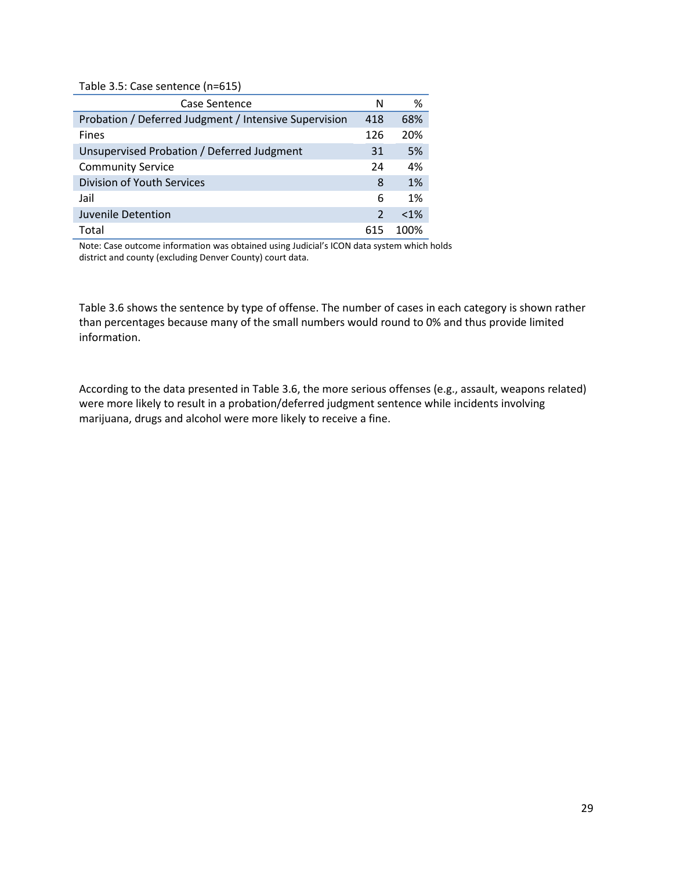#### Table 3.5: Case sentence (n=615)

| Case Sentence                                         | N             | %       |
|-------------------------------------------------------|---------------|---------|
| Probation / Deferred Judgment / Intensive Supervision | 418           | 68%     |
| Fines                                                 | 126           | 20%     |
| Unsupervised Probation / Deferred Judgment            | 31            | 5%      |
| <b>Community Service</b>                              | 24            | 4%      |
| Division of Youth Services                            | 8             | 1%      |
| Jail                                                  | 6             | 1%      |
| Juvenile Detention                                    | $\mathcal{P}$ | $< 1\%$ |
| Total                                                 | 615           | 100%    |

Note: Case outcome information was obtained using Judicial's ICON data system which holds district and county (excluding Denver County) court data.

Table 3.6 shows the sentence by type of offense. The number of cases in each category is shown rather than percentages because many of the small numbers would round to 0% and thus provide limited information.

According to the data presented in Table 3.6, the more serious offenses (e.g., assault, weapons related) were more likely to result in a probation/deferred judgment sentence while incidents involving marijuana, drugs and alcohol were more likely to receive a fine.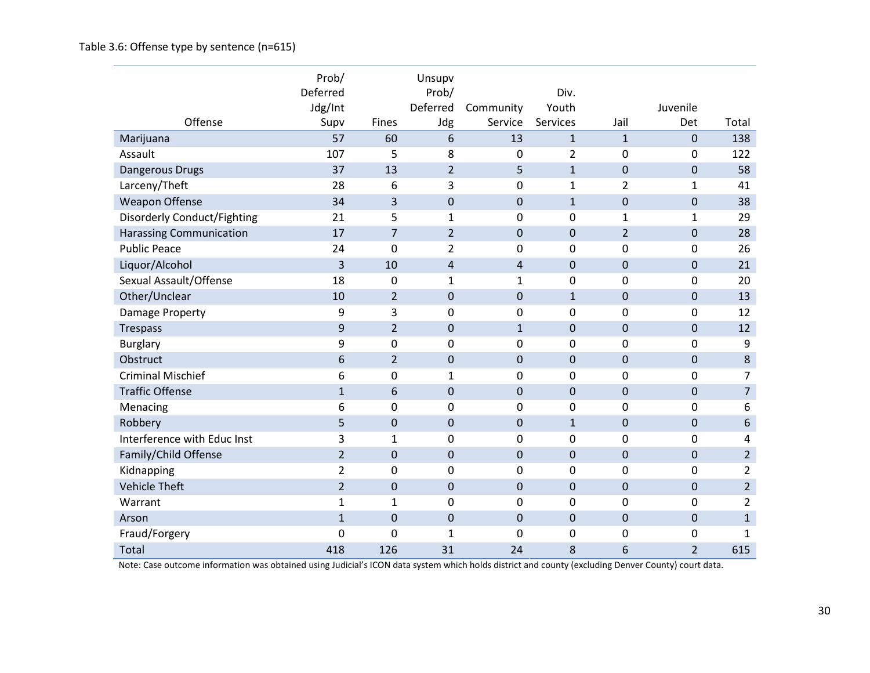|                                    | Prob/<br>Deferred |                  | Unsupv<br>Prob/ |                | Div.           |                |                |                |
|------------------------------------|-------------------|------------------|-----------------|----------------|----------------|----------------|----------------|----------------|
|                                    | Jdg/Int           |                  | Deferred        | Community      | Youth          |                | Juvenile       |                |
| Offense                            | Supv              | Fines            | Jdg             | Service        | Services       | Jail           | Det            | Total          |
| Marijuana                          | 57                | 60               | 6               | 13             | $\mathbf{1}$   | $\mathbf{1}$   | $\mathbf 0$    | 138            |
| Assault                            | 107               | 5                | 8               | 0              | $\overline{2}$ | $\mathbf 0$    | 0              | 122            |
| Dangerous Drugs                    | 37                | 13               | $\overline{2}$  | 5              | $\mathbf{1}$   | $\mathbf 0$    | $\mathbf 0$    | 58             |
| Larceny/Theft                      | 28                | 6                | 3               | $\mathbf 0$    | $\mathbf{1}$   | $\overline{2}$ | $\mathbf{1}$   | 41             |
| <b>Weapon Offense</b>              | 34                | 3                | $\pmb{0}$       | $\mathbf 0$    | $\mathbf{1}$   | $\mathbf 0$    | $\mathbf 0$    | 38             |
| <b>Disorderly Conduct/Fighting</b> | 21                | 5                | $\mathbf{1}$    | 0              | 0              | 1              | $\mathbf{1}$   | 29             |
| <b>Harassing Communication</b>     | 17                | 7                | $\overline{2}$  | $\mathbf{0}$   | $\mathbf 0$    | $\overline{2}$ | $\mathbf 0$    | 28             |
| <b>Public Peace</b>                | 24                | $\overline{0}$   | $\overline{2}$  | $\mathbf 0$    | 0              | 0              | 0              | 26             |
| Liquor/Alcohol                     | $\overline{3}$    | 10               | $\overline{4}$  | $\overline{4}$ | $\mathbf 0$    | $\mathbf 0$    | $\mathbf 0$    | 21             |
| Sexual Assault/Offense             | 18                | $\mathbf 0$      | $\mathbf{1}$    | $\mathbf{1}$   | 0              | $\mathbf 0$    | 0              | 20             |
| Other/Unclear                      | 10                | $\overline{2}$   | $\mathbf 0$     | $\mathbf 0$    | $\mathbf{1}$   | $\mathbf 0$    | $\mathbf 0$    | 13             |
| Damage Property                    | 9                 | 3                | $\mathbf 0$     | $\mathbf 0$    | 0              | $\mathbf 0$    | 0              | 12             |
| Trespass                           | 9                 | 2                | $\mathbf 0$     | $\mathbf{1}$   | $\mathbf 0$    | $\mathbf 0$    | $\mathbf 0$    | 12             |
| <b>Burglary</b>                    | 9                 | $\mathbf 0$      | $\mathbf 0$     | $\mathbf 0$    | 0              | $\mathbf 0$    | $\mathbf 0$    | 9              |
| Obstruct                           | 6                 | $\overline{2}$   | $\pmb{0}$       | $\mathbf 0$    | $\mathbf 0$    | $\mathbf 0$    | $\mathbf 0$    | 8              |
| <b>Criminal Mischief</b>           | 6                 | 0                | $\mathbf{1}$    | $\mathbf 0$    | 0              | $\mathbf 0$    | 0              | $\overline{7}$ |
| <b>Traffic Offense</b>             | $\mathbf{1}$      | 6                | $\pmb{0}$       | $\mathbf 0$    | $\mathbf 0$    | $\mathbf 0$    | $\mathbf 0$    | $\overline{7}$ |
| Menacing                           | 6                 | 0                | $\mathbf 0$     | $\mathbf 0$    | 0              | $\mathbf 0$    | 0              | 6              |
| Robbery                            | 5                 | $\mathbf 0$      | $\pmb{0}$       | $\mathbf 0$    | $\mathbf{1}$   | $\mathbf 0$    | $\mathbf 0$    | 6              |
| Interference with Educ Inst        | 3                 | 1                | $\mathbf 0$     | 0              | 0              | $\mathbf 0$    | 0              | 4              |
| Family/Child Offense               | $\overline{2}$    | $\mathbf 0$      | $\mathbf 0$     | $\mathbf 0$    | $\mathbf 0$    | $\mathbf 0$    | $\mathbf 0$    | $\overline{2}$ |
| Kidnapping                         | $\overline{2}$    | 0                | $\mathbf 0$     | 0              | 0              | $\mathbf 0$    | 0              | $\overline{2}$ |
| <b>Vehicle Theft</b>               | $\overline{2}$    | $\mathbf 0$      | $\mathbf 0$     | $\mathbf{0}$   | $\mathbf 0$    | $\mathbf 0$    | $\mathbf 0$    | $\overline{2}$ |
| Warrant                            | $\mathbf 1$       | $\mathbf{1}$     | $\mathbf 0$     | $\mathbf 0$    | 0              | $\mathbf 0$    | 0              | $\overline{2}$ |
| Arson                              | $\mathbf{1}$      | $\boldsymbol{0}$ | $\pmb{0}$       | $\mathbf 0$    | $\mathbf 0$    | $\mathbf 0$    | $\mathbf 0$    | $\mathbf{1}$   |
| Fraud/Forgery                      | $\mathbf 0$       | 0                | $\mathbf{1}$    | $\mathbf 0$    | 0              | $\mathbf 0$    | 0              | $\mathbf{1}$   |
| Total                              | 418               | 126              | 31              | 24             | 8              | 6              | $\overline{2}$ | 615            |

Note: Case outcome information was obtained using Judicial's ICON data system which holds district and county (excluding Denver County) court data.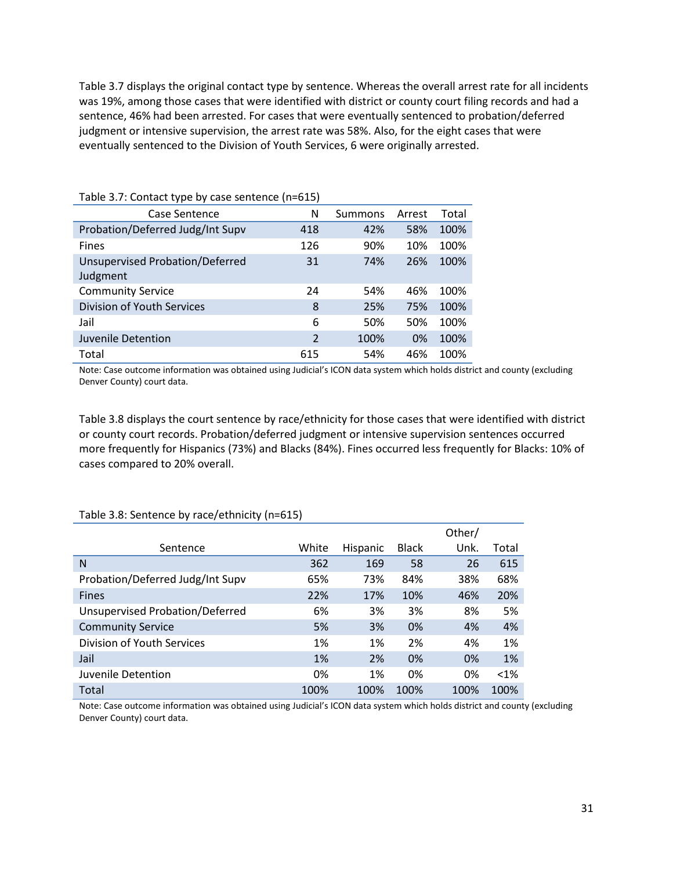Table 3.7 displays the original contact type by sentence. Whereas the overall arrest rate for all incidents was 19%, among those cases that were identified with district or county court filing records and had a sentence, 46% had been arrested. For cases that were eventually sentenced to probation/deferred judgment or intensive supervision, the arrest rate was 58%. Also, for the eight cases that were eventually sentenced to the Division of Youth Services, 6 were originally arrested.

| Case Sentence                          | N              | Summons | Arrest | Total |
|----------------------------------------|----------------|---------|--------|-------|
| Probation/Deferred Judg/Int Supv       | 418            | 42%     | 58%    | 100%  |
| <b>Fines</b>                           | 126            | 90%     | 10%    | 100%  |
| <b>Unsupervised Probation/Deferred</b> | 31             | 74%     | 26%    | 100%  |
| Judgment                               |                |         |        |       |
| <b>Community Service</b>               | 24             | 54%     | 46%    | 100%  |
| Division of Youth Services             | 8              | 25%     | 75%    | 100%  |
| Jail                                   | 6              | 50%     | 50%    | 100%  |
| Juvenile Detention                     | $\overline{2}$ | 100%    | 0%     | 100%  |
| Total                                  | 615            | 54%     | 46%    | 100%  |

Table 3.7: Contact type by case sentence (n=615)

Note: Case outcome information was obtained using Judicial's ICON data system which holds district and county (excluding Denver County) court data.

Table 3.8 displays the court sentence by race/ethnicity for those cases that were identified with district or county court records. Probation/deferred judgment or intensive supervision sentences occurred more frequently for Hispanics (73%) and Blacks (84%). Fines occurred less frequently for Blacks: 10% of cases compared to 20% overall.

|                                  |       |                 |              | Other/ |         |
|----------------------------------|-------|-----------------|--------------|--------|---------|
| Sentence                         | White | <b>Hispanic</b> | <b>Black</b> | Unk.   | Total   |
| N                                | 362   | 169             | 58           | 26     | 615     |
| Probation/Deferred Judg/Int Supv | 65%   | 73%             | 84%          | 38%    | 68%     |
| <b>Fines</b>                     | 22%   | 17%             | 10%          | 46%    | 20%     |
| Unsupervised Probation/Deferred  | 6%    | 3%              | 3%           | 8%     | 5%      |
| <b>Community Service</b>         | 5%    | 3%              | 0%           | 4%     | 4%      |
| Division of Youth Services       | 1%    | 1%              | 2%           | 4%     | 1%      |
| Jail                             | 1%    | 2%              | 0%           | 0%     | 1%      |
| Juvenile Detention               | 0%    | 1%              | 0%           | 0%     | $< 1\%$ |
| Total                            | 100%  | 100%            | 100%         | 100%   | 100%    |

#### Table 3.8: Sentence by race/ethnicity (n=615)

Note: Case outcome information was obtained using Judicial's ICON data system which holds district and county (excluding Denver County) court data.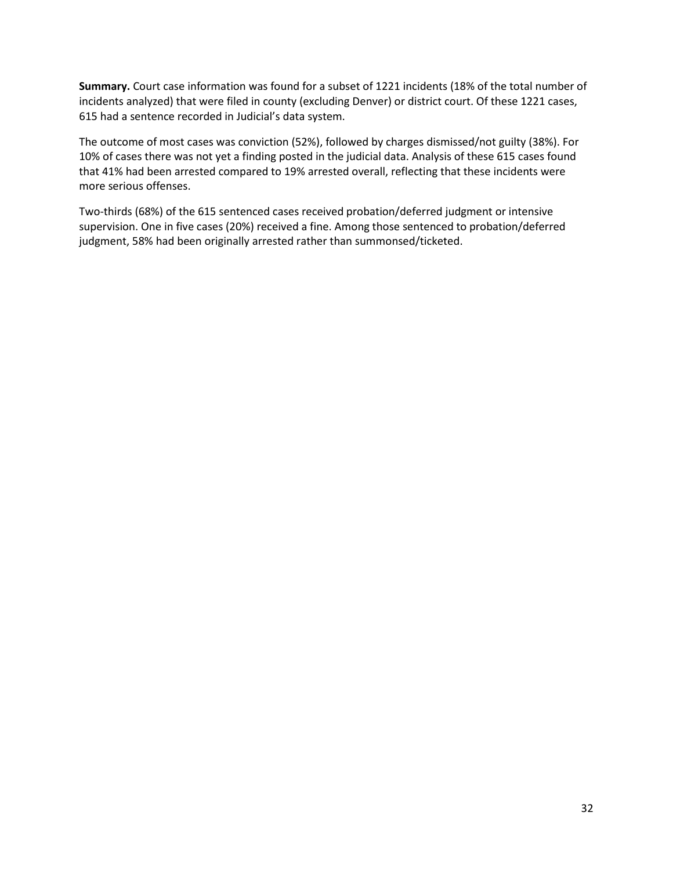**Summary.** Court case information was found for a subset of 1221 incidents (18% of the total number of incidents analyzed) that were filed in county (excluding Denver) or district court. Of these 1221 cases, 615 had a sentence recorded in Judicial's data system.

The outcome of most cases was conviction (52%), followed by charges dismissed/not guilty (38%). For 10% of cases there was not yet a finding posted in the judicial data. Analysis of these 615 cases found that 41% had been arrested compared to 19% arrested overall, reflecting that these incidents were more serious offenses.

Two-thirds (68%) of the 615 sentenced cases received probation/deferred judgment or intensive supervision. One in five cases (20%) received a fine. Among those sentenced to probation/deferred judgment, 58% had been originally arrested rather than summonsed/ticketed.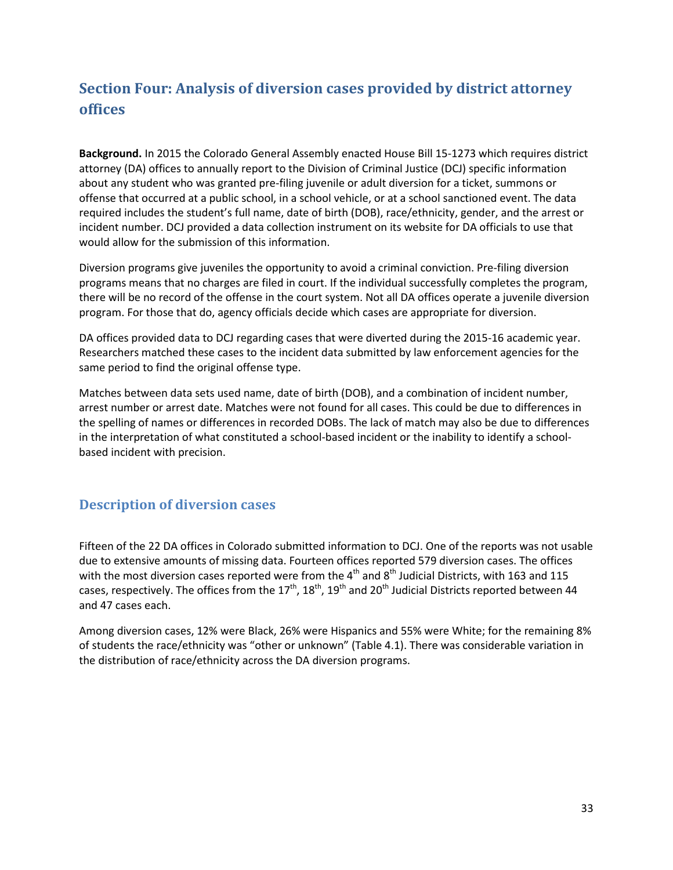# <span id="page-32-0"></span>**Section Four: Analysis of diversion cases provided by district attorney offices**

**Background.** In 2015 the Colorado General Assembly enacted House Bill 15-1273 which requires district attorney (DA) offices to annually report to the Division of Criminal Justice (DCJ) specific information about any student who was granted pre-filing juvenile or adult diversion for a ticket, summons or offense that occurred at a public school, in a school vehicle, or at a school sanctioned event. The data required includes the student's full name, date of birth (DOB), race/ethnicity, gender, and the arrest or incident number. DCJ provided a data collection instrument on its website for DA officials to use that would allow for the submission of this information.

Diversion programs give juveniles the opportunity to avoid a criminal conviction. Pre-filing diversion programs means that no charges are filed in court. If the individual successfully completes the program, there will be no record of the offense in the court system. Not all DA offices operate a juvenile diversion program. For those that do, agency officials decide which cases are appropriate for diversion.

DA offices provided data to DCJ regarding cases that were diverted during the 2015-16 academic year. Researchers matched these cases to the incident data submitted by law enforcement agencies for the same period to find the original offense type.

Matches between data sets used name, date of birth (DOB), and a combination of incident number, arrest number or arrest date. Matches were not found for all cases. This could be due to differences in the spelling of names or differences in recorded DOBs. The lack of match may also be due to differences in the interpretation of what constituted a school-based incident or the inability to identify a schoolbased incident with precision.

### <span id="page-32-1"></span>**Description of diversion cases**

Fifteen of the 22 DA offices in Colorado submitted information to DCJ. One of the reports was not usable due to extensive amounts of missing data. Fourteen offices reported 579 diversion cases. The offices with the most diversion cases reported were from the  $4<sup>th</sup>$  and  $8<sup>th</sup>$  Judicial Districts, with 163 and 115 cases, respectively. The offices from the  $17<sup>th</sup>$ ,  $18<sup>th</sup>$ ,  $19<sup>th</sup>$  and  $20<sup>th</sup>$  Judicial Districts reported between 44 and 47 cases each.

Among diversion cases, 12% were Black, 26% were Hispanics and 55% were White; for the remaining 8% of students the race/ethnicity was "other or unknown" (Table 4.1). There was considerable variation in the distribution of race/ethnicity across the DA diversion programs.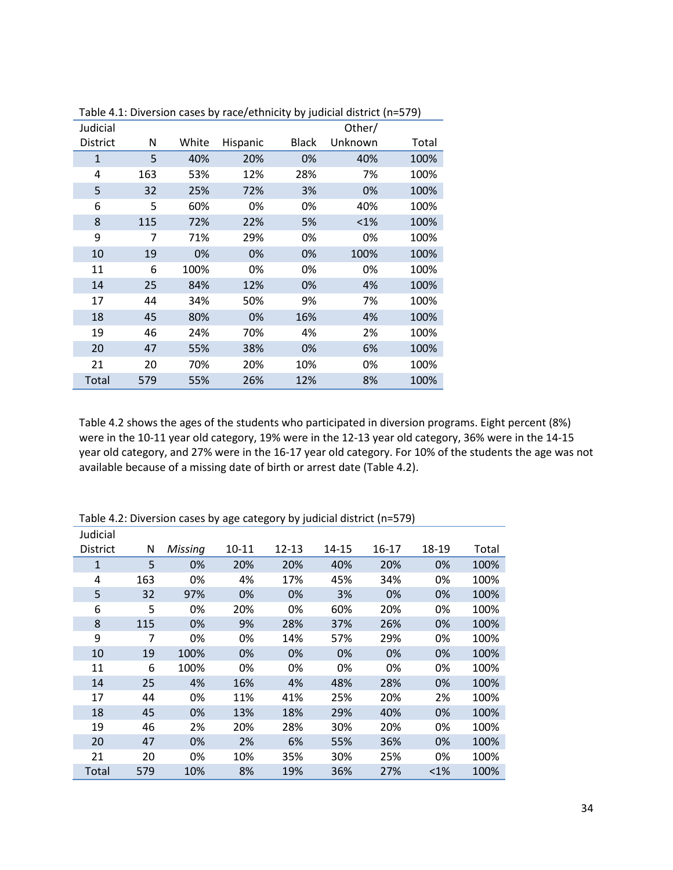| i able 4.1. Diversion cases by Tace/Ethnicity by Judicial district (۱۱–۱۶) |     |       |          |              |         |       |
|----------------------------------------------------------------------------|-----|-------|----------|--------------|---------|-------|
| Judicial                                                                   |     |       |          |              | Other/  |       |
| <b>District</b>                                                            | Ν   | White | Hispanic | <b>Black</b> | Unknown | Total |
| $\mathbf{1}$                                                               | 5   | 40%   | 20%      | 0%           | 40%     | 100%  |
| 4                                                                          | 163 | 53%   | 12%      | 28%          | 7%      | 100%  |
| 5                                                                          | 32  | 25%   | 72%      | 3%           | 0%      | 100%  |
| 6                                                                          | 5   | 60%   | 0%       | 0%           | 40%     | 100%  |
| 8                                                                          | 115 | 72%   | 22%      | 5%           | $< 1\%$ | 100%  |
| 9                                                                          | 7   | 71%   | 29%      | 0%           | 0%      | 100%  |
| 10                                                                         | 19  | 0%    | 0%       | 0%           | 100%    | 100%  |
| 11                                                                         | 6   | 100%  | 0%       | 0%           | 0%      | 100%  |
| 14                                                                         | 25  | 84%   | 12%      | 0%           | 4%      | 100%  |
| 17                                                                         | 44  | 34%   | 50%      | 9%           | 7%      | 100%  |
| 18                                                                         | 45  | 80%   | 0%       | 16%          | 4%      | 100%  |
| 19                                                                         | 46  | 24%   | 70%      | 4%           | 2%      | 100%  |
| 20                                                                         | 47  | 55%   | 38%      | 0%           | 6%      | 100%  |
| 21                                                                         | 20  | 70%   | 20%      | 10%          | 0%      | 100%  |
| Total                                                                      | 579 | 55%   | 26%      | 12%          | 8%      | 100%  |

Table 4.1: Diversion cases by race/ethnicity by judicial district (n=579)

Table 4.2 shows the ages of the students who participated in diversion programs. Eight percent (8%) were in the 10-11 year old category, 19% were in the 12-13 year old category, 36% were in the 14-15 year old category, and 27% were in the 16-17 year old category. For 10% of the students the age was not available because of a missing date of birth or arrest date (Table 4.2).

| Judicial        |     |         |           |       |       |       |       |       |
|-----------------|-----|---------|-----------|-------|-------|-------|-------|-------|
| <b>District</b> | N   | Missing | $10 - 11$ | 12-13 | 14-15 | 16-17 | 18-19 | Total |
| $\mathbf{1}$    | 5   | 0%      | 20%       | 20%   | 40%   | 20%   | 0%    | 100%  |
| 4               | 163 | 0%      | 4%        | 17%   | 45%   | 34%   | 0%    | 100%  |
| 5               | 32  | 97%     | 0%        | 0%    | 3%    | 0%    | 0%    | 100%  |
| 6               | 5   | 0%      | 20%       | 0%    | 60%   | 20%   | 0%    | 100%  |
| 8               | 115 | 0%      | 9%        | 28%   | 37%   | 26%   | 0%    | 100%  |
| 9               | 7   | 0%      | 0%        | 14%   | 57%   | 29%   | 0%    | 100%  |
| 10              | 19  | 100%    | 0%        | 0%    | 0%    | 0%    | 0%    | 100%  |
| 11              | 6   | 100%    | 0%        | 0%    | 0%    | 0%    | 0%    | 100%  |
| 14              | 25  | 4%      | 16%       | 4%    | 48%   | 28%   | 0%    | 100%  |
| 17              | 44  | 0%      | 11%       | 41%   | 25%   | 20%   | 2%    | 100%  |
| 18              | 45  | 0%      | 13%       | 18%   | 29%   | 40%   | 0%    | 100%  |
| 19              | 46  | 2%      | 20%       | 28%   | 30%   | 20%   | 0%    | 100%  |
| 20              | 47  | 0%      | 2%        | 6%    | 55%   | 36%   | 0%    | 100%  |
| 21              | 20  | 0%      | 10%       | 35%   | 30%   | 25%   | 0%    | 100%  |
| Total           | 579 | 10%     | 8%        | 19%   | 36%   | 27%   | < 1%  | 100%  |

Table 4.2: Diversion cases by age category by judicial district (n=579)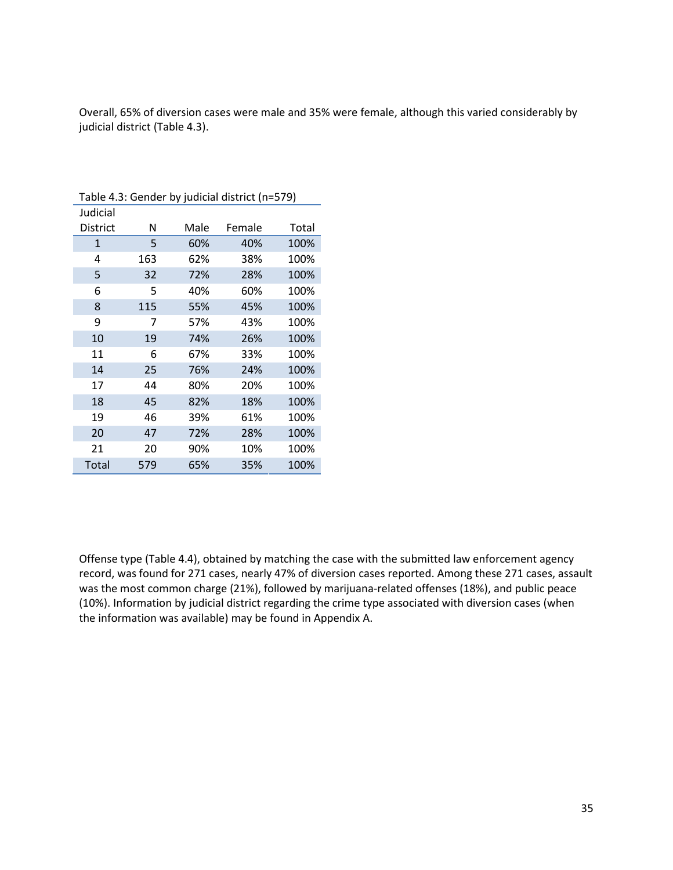Overall, 65% of diversion cases were male and 35% were female, although this varied considerably by judicial district (Table 4.3).

| Judicial        |     |      |        |       |
|-----------------|-----|------|--------|-------|
| <b>District</b> | Ν   | Male | Female | Total |
| 1               | 5   | 60%  | 40%    | 100%  |
| 4               | 163 | 62%  | 38%    | 100%  |
| 5               | 32  | 72%  | 28%    | 100%  |
| 6               | 5   | 40%  | 60%    | 100%  |
| 8               | 115 | 55%  | 45%    | 100%  |
| 9               | 7   | 57%  | 43%    | 100%  |
| 10              | 19  | 74%  | 26%    | 100%  |
| 11              | 6   | 67%  | 33%    | 100%  |
| 14              | 25  | 76%  | 24%    | 100%  |
| 17              | 44  | 80%  | 20%    | 100%  |
| 18              | 45  | 82%  | 18%    | 100%  |
| 19              | 46  | 39%  | 61%    | 100%  |
| 20              | 47  | 72%  | 28%    | 100%  |
| 21              | 20  | 90%  | 10%    | 100%  |
| Total           | 579 | 65%  | 35%    | 100%  |

Table 4.3: Gender by judicial district (n=579)

Offense type (Table 4.4), obtained by matching the case with the submitted law enforcement agency record, was found for 271 cases, nearly 47% of diversion cases reported. Among these 271 cases, assault was the most common charge (21%), followed by marijuana-related offenses (18%), and public peace (10%). Information by judicial district regarding the crime type associated with diversion cases (when the information was available) may be found in Appendix A.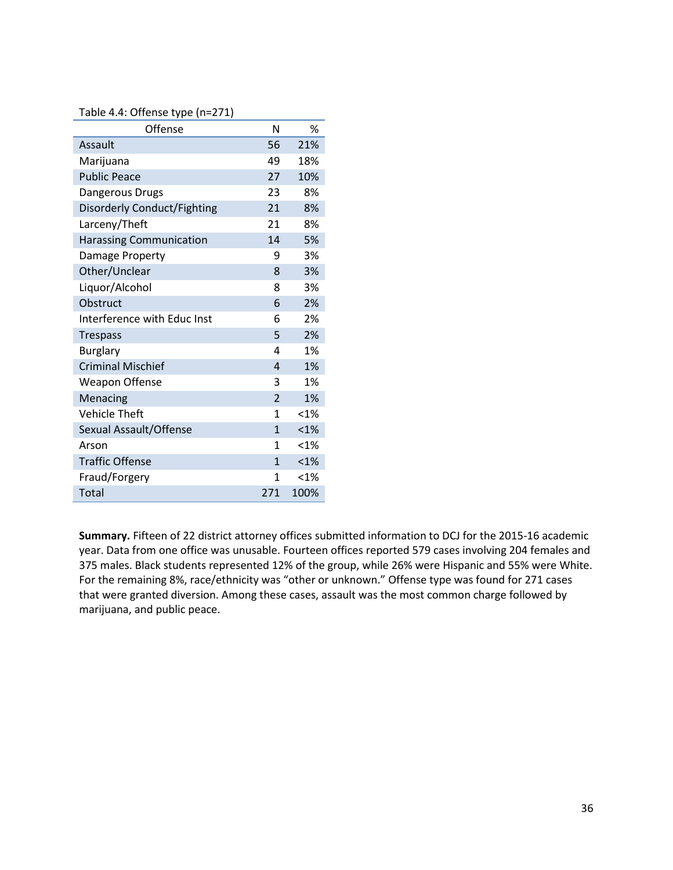### Table 4.4: Offense type (n=271)

| Offense                        | N                      | %       |
|--------------------------------|------------------------|---------|
| Assault                        | 56                     | 21%     |
| Marijuana                      | 49                     | 18%     |
| <b>Public Peace</b>            | 27                     | 10%     |
| Dangerous Drugs                | 23                     | 8%      |
| Disorderly Conduct/Fighting    | 21                     | 8%      |
| Larceny/Theft                  | 21                     | 8%      |
| <b>Harassing Communication</b> | 14                     | 5%      |
| Damage Property                | 9                      | 3%      |
| Other/Unclear                  | 8                      | 3%      |
| Liquor/Alcohol                 | 8                      | 3%      |
| Obstruct                       | 6                      | 2%      |
| Interference with Educ Inst    | 6                      | 2%      |
| <b>Trespass</b>                | 5                      | 2%      |
| <b>Burglary</b>                | 4                      | 1%      |
| <b>Criminal Mischief</b>       | $\boldsymbol{\Lambda}$ | 1%      |
| <b>Weapon Offense</b>          | 3                      | 1%      |
| Menacing                       | $\overline{2}$         | 1%      |
| <b>Vehicle Theft</b>           | 1                      | < 1%    |
| Sexual Assault/Offense         | $\mathbf{1}$           | < 1%    |
| Arson                          | 1                      | $< 1\%$ |
| <b>Traffic Offense</b>         | $\mathbf{1}$           | < 1%    |
| Fraud/Forgery                  | 1                      | < 1%    |
| Total                          | 271                    | 100%    |

**Summary.** Fifteen of 22 district attorney offices submitted information to DCJ for the 2015-16 academic year. Data from one office was unusable. Fourteen offices reported 579 cases involving 204 females and 375 males. Black students represented 12% of the group, while 26% were Hispanic and 55% were White. For the remaining 8%, race/ethnicity was "other or unknown." Offense type was found for 271 cases that were granted diversion. Among these cases, assault was the most common charge followed by marijuana, and public peace.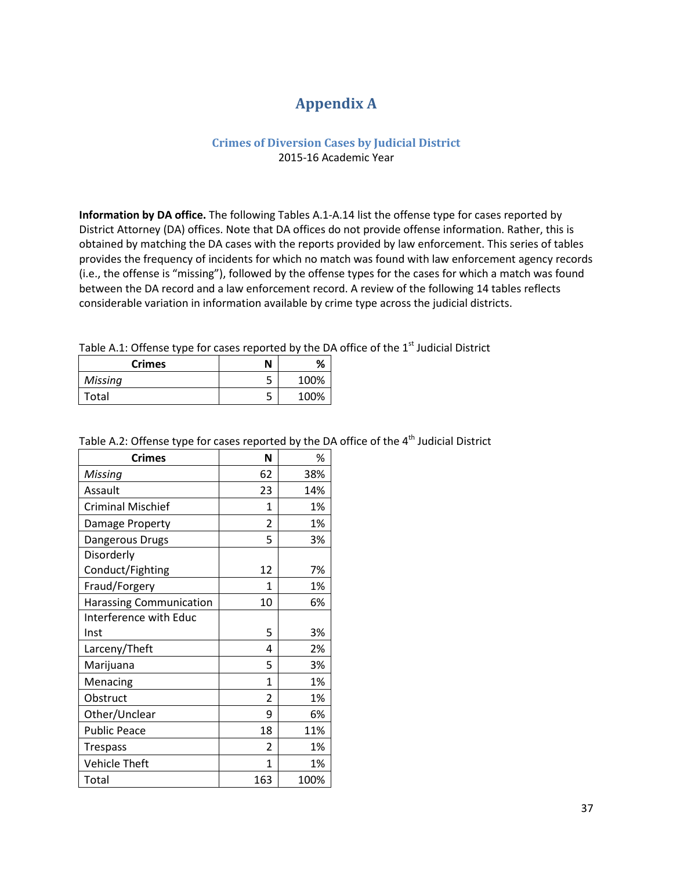# **Appendix A**

### **Crimes of Diversion Cases by Judicial District** 2015-16 Academic Year

<span id="page-36-1"></span><span id="page-36-0"></span>**Information by DA office.** The following Tables A.1-A.14 list the offense type for cases reported by District Attorney (DA) offices. Note that DA offices do not provide offense information. Rather, this is obtained by matching the DA cases with the reports provided by law enforcement. This series of tables provides the frequency of incidents for which no match was found with law enforcement agency records (i.e., the offense is "missing"), followed by the offense types for the cases for which a match was found between the DA record and a law enforcement record. A review of the following 14 tables reflects considerable variation in information available by crime type across the judicial districts.

Table A.1: Offense type for cases reported by the DA office of the  $1<sup>st</sup>$  Judicial District

| <b>Crimes</b> | Ν   | %    |
|---------------|-----|------|
| Missing       |     | 100% |
| Total         | دست | 100% |

| <b>Crimes</b>                  | Ν              | %    |
|--------------------------------|----------------|------|
| Missing                        | 62             | 38%  |
| Assault                        | 23             | 14%  |
| <b>Criminal Mischief</b>       | 1              | 1%   |
| Damage Property                | $\overline{2}$ | 1%   |
| Dangerous Drugs                | 5              | 3%   |
| Disorderly                     |                |      |
| Conduct/Fighting               | 12             | 7%   |
| Fraud/Forgery                  | 1              | 1%   |
| <b>Harassing Communication</b> | 10             | 6%   |
| Interference with Educ         |                |      |
| Inst                           | 5              | 3%   |
| Larceny/Theft                  | 4              | 2%   |
| Marijuana                      | 5              | 3%   |
| Menacing                       | 1              | 1%   |
| Obstruct                       | $\overline{2}$ | 1%   |
| Other/Unclear                  | ٩              | 6%   |
| <b>Public Peace</b>            | 18             | 11%  |
| <b>Trespass</b>                | $\overline{2}$ | 1%   |
| <b>Vehicle Theft</b>           | 1              | 1%   |
| Total                          | 163            | 100% |

Table A.2: Offense type for cases reported by the DA office of the  $4<sup>th</sup>$  Judicial District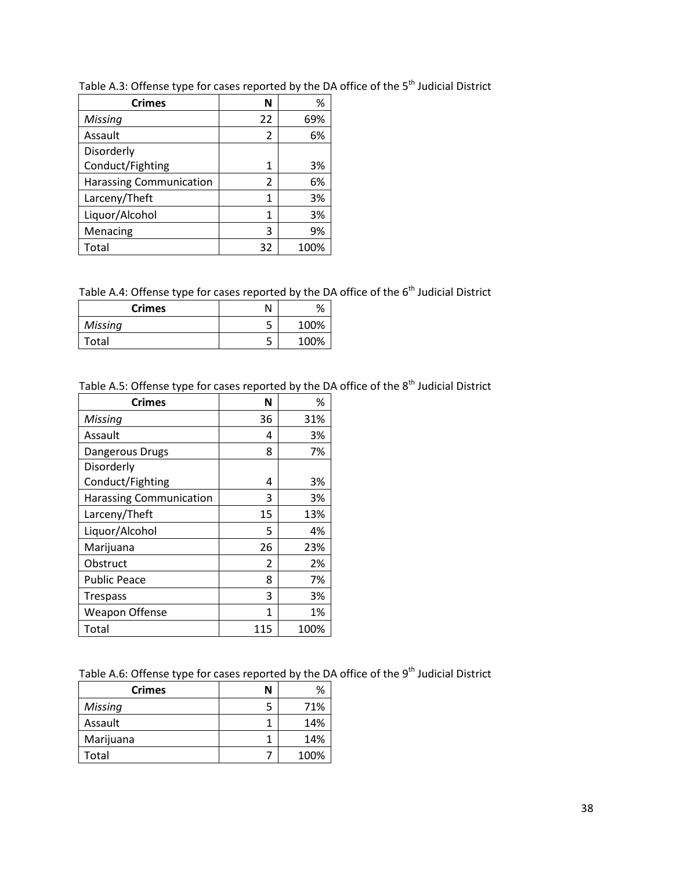| <b>Crimes</b>                  | N  | %    |
|--------------------------------|----|------|
| <b>Missing</b>                 | 22 | 69%  |
| Assault                        | 2  | 6%   |
| Disorderly                     |    |      |
| Conduct/Fighting               | 1  | 3%   |
| <b>Harassing Communication</b> | 2  | 6%   |
| Larceny/Theft                  | 1  | 3%   |
| Liquor/Alcohol                 | 1  | 3%   |
| Menacing                       | 3  | 9%   |
| Total                          | 32 | 100% |

Table A.3: Offense type for cases reported by the DA office of the 5<sup>th</sup> Judicial District

Table A.4: Offense type for cases reported by the DA office of the 6<sup>th</sup> Judicial District

| <b>Crimes</b> |   | %    |
|---------------|---|------|
| Missing       | ت | 100% |
| -otal         | ر | 100% |

Table A.5: Offense type for cases reported by the DA office of the 8<sup>th</sup> Judicial District

| Crimes                         | N   | ℅    |
|--------------------------------|-----|------|
| Missing                        | 36  | 31%  |
| Assault                        | 4   | 3%   |
| Dangerous Drugs                | 8   | 7%   |
| Disorderly                     |     |      |
| Conduct/Fighting               | 4   | 3%   |
| <b>Harassing Communication</b> | 3   | 3%   |
| Larceny/Theft                  | 15  | 13%  |
| Liquor/Alcohol                 | 5   | 4%   |
| Marijuana                      | 26  | 23%  |
| Obstruct                       | 2   | 2%   |
| <b>Public Peace</b>            | 8   | 7%   |
| <b>Trespass</b>                | 3   | 3%   |
| <b>Weapon Offense</b>          | 1   | 1%   |
| Total                          | 115 | 100% |

Table A.6: Offense type for cases reported by the DA office of the 9<sup>th</sup> Judicial District

| <b>Crimes</b> | Ν | %    |
|---------------|---|------|
| Missing       |   | 71%  |
| Assault       |   | 14%  |
| Marijuana     |   | 14%  |
| Total         |   | 100% |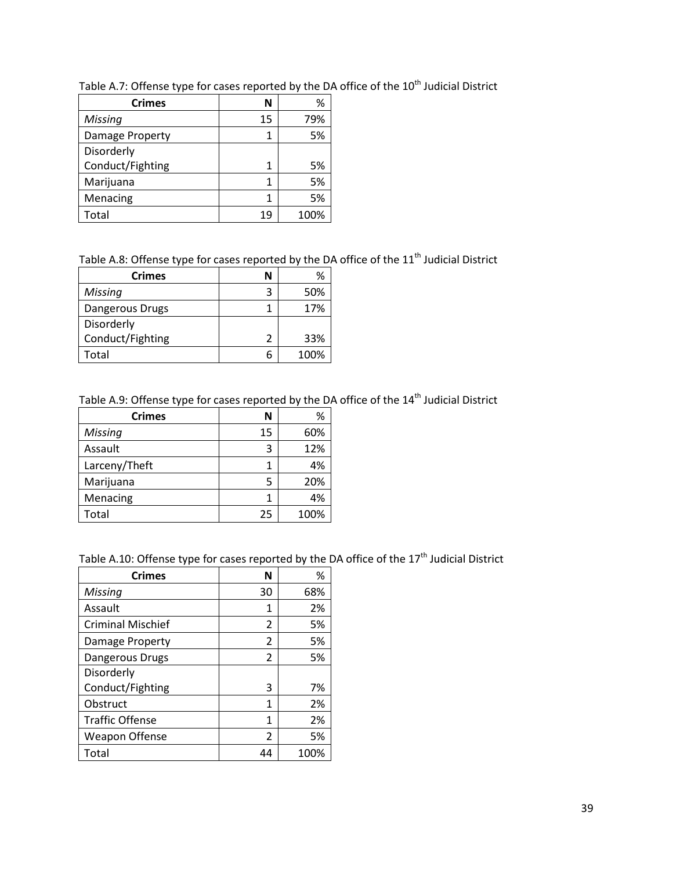| <b>Crimes</b>    | N   | ℅    |
|------------------|-----|------|
| Missing          | 15  | 79%  |
| Damage Property  |     | 5%   |
| Disorderly       |     |      |
| Conduct/Fighting |     | 5%   |
| Marijuana        |     | 5%   |
| Menacing         |     | 5%   |
| Total            | 1 q | 100% |

Table A.7: Offense type for cases reported by the DA office of the 10<sup>th</sup> Judicial District

Table A.8: Offense type for cases reported by the DA office of the 11<sup>th</sup> Judicial District

| <b>Crimes</b>    | N | ℅    |
|------------------|---|------|
| Missing          | Р | 50%  |
| Dangerous Drugs  |   | 17%  |
| Disorderly       |   |      |
| Conduct/Fighting |   | 33%  |
| Total            |   | 100% |

Table A.9: Offense type for cases reported by the DA office of the 14<sup>th</sup> Judicial District

| <b>Crimes</b> | N  | %    |
|---------------|----|------|
| Missing       | 15 | 60%  |
| Assault       | 3  | 12%  |
| Larceny/Theft |    | 4%   |
| Marijuana     |    | 20%  |
| Menacing      |    | 4%   |
| Total         | 25 | 100% |

Table A.10: Offense type for cases reported by the DA office of the 17<sup>th</sup> Judicial District

| <b>Crimes</b>            | N              | ℅    |
|--------------------------|----------------|------|
| Missing                  | 30             | 68%  |
| Assault                  | 1              | 2%   |
| <b>Criminal Mischief</b> | 2              | 5%   |
| Damage Property          | 2              | 5%   |
| Dangerous Drugs          | 2              | 5%   |
| Disorderly               |                |      |
| Conduct/Fighting         | 3              | 7%   |
| Obstruct                 | 1              | 2%   |
| <b>Traffic Offense</b>   | 1              | 2%   |
| <b>Weapon Offense</b>    | $\overline{2}$ | 5%   |
| Total                    | 44             | 100% |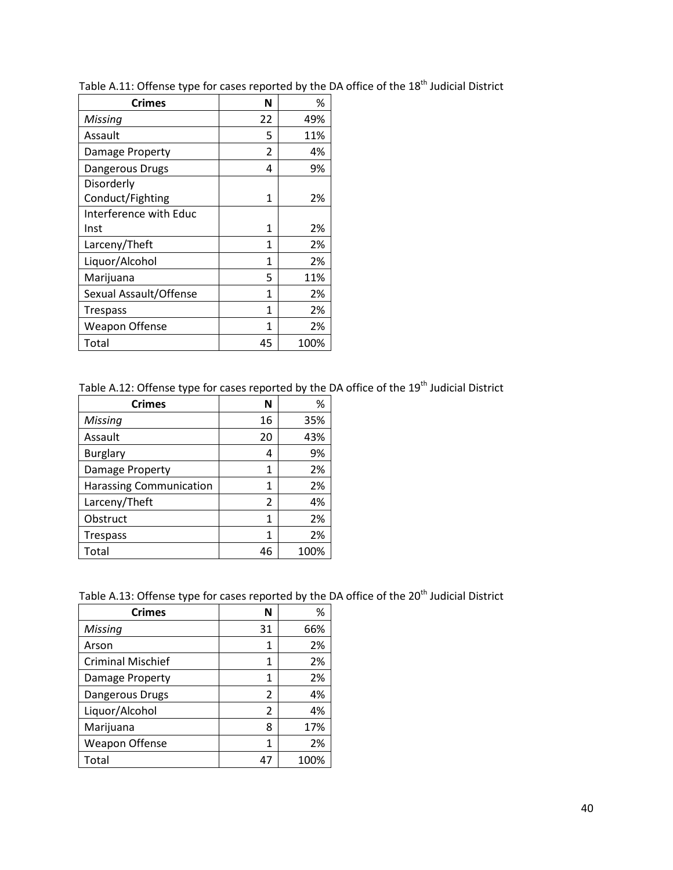| <b>Crimes</b>          | N              | %    |
|------------------------|----------------|------|
| Missing                | 22             | 49%  |
| Assault                | 5.             | 11%  |
| Damage Property        | $\overline{2}$ | 4%   |
| Dangerous Drugs        | 4              | 9%   |
| Disorderly             |                |      |
| Conduct/Fighting       | 1              | 2%   |
| Interference with Educ |                |      |
| Inst                   | 1              | 2%   |
| Larceny/Theft          | 1              | 2%   |
| Liquor/Alcohol         | 1              | 2%   |
| Marijuana              | 5              | 11%  |
| Sexual Assault/Offense | 1              | 2%   |
| Trespass               | 1              | 2%   |
| <b>Weapon Offense</b>  | 1              | 2%   |
| Total                  | 45             | 100% |

Table A.12: Offense type for cases reported by the DA office of the 19<sup>th</sup> Judicial District

| <b>Crimes</b>                  | Ν  | %    |
|--------------------------------|----|------|
| <b>Missing</b>                 | 16 | 35%  |
| Assault                        | 20 | 43%  |
| <b>Burglary</b>                | 4  | 9%   |
| Damage Property                | 1  | 2%   |
| <b>Harassing Communication</b> | 1  | 2%   |
| Larceny/Theft                  | 2  | 4%   |
| Obstruct                       | 1  | 2%   |
| <b>Trespass</b>                | 1  | 2%   |
| Total                          | 46 | 100% |

Table A.13: Offense type for cases reported by the DA office of the 20<sup>th</sup> Judicial District

| , ,                      |    |      |
|--------------------------|----|------|
| <b>Crimes</b>            | N  | %    |
| Missing                  | 31 | 66%  |
| Arson                    | 1  | 2%   |
| <b>Criminal Mischief</b> | 1  | 2%   |
| Damage Property          | 1  | 2%   |
| Dangerous Drugs          | 2  | 4%   |
| Liquor/Alcohol           | 2  | 4%   |
| Marijuana                | 8  | 17%  |
| <b>Weapon Offense</b>    | 1  | 2%   |
| Total                    | 47 | 100% |